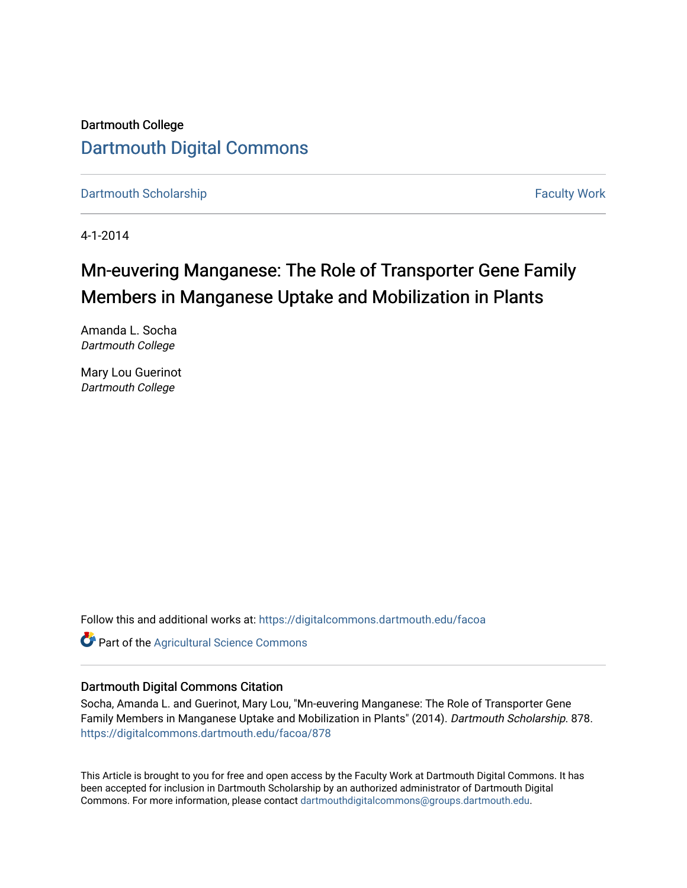Dartmouth College [Dartmouth Digital Commons](https://digitalcommons.dartmouth.edu/) 

[Dartmouth Scholarship](https://digitalcommons.dartmouth.edu/facoa) Faculty Work

4-1-2014

# Mn-euvering Manganese: The Role of Transporter Gene Family Members in Manganese Uptake and Mobilization in Plants

Amanda L. Socha Dartmouth College

Mary Lou Guerinot Dartmouth College

Follow this and additional works at: [https://digitalcommons.dartmouth.edu/facoa](https://digitalcommons.dartmouth.edu/facoa?utm_source=digitalcommons.dartmouth.edu%2Ffacoa%2F878&utm_medium=PDF&utm_campaign=PDFCoverPages)

Part of the [Agricultural Science Commons](http://network.bepress.com/hgg/discipline/1063?utm_source=digitalcommons.dartmouth.edu%2Ffacoa%2F878&utm_medium=PDF&utm_campaign=PDFCoverPages)

# Dartmouth Digital Commons Citation

Socha, Amanda L. and Guerinot, Mary Lou, "Mn-euvering Manganese: The Role of Transporter Gene Family Members in Manganese Uptake and Mobilization in Plants" (2014). Dartmouth Scholarship. 878. [https://digitalcommons.dartmouth.edu/facoa/878](https://digitalcommons.dartmouth.edu/facoa/878?utm_source=digitalcommons.dartmouth.edu%2Ffacoa%2F878&utm_medium=PDF&utm_campaign=PDFCoverPages)

This Article is brought to you for free and open access by the Faculty Work at Dartmouth Digital Commons. It has been accepted for inclusion in Dartmouth Scholarship by an authorized administrator of Dartmouth Digital Commons. For more information, please contact [dartmouthdigitalcommons@groups.dartmouth.edu](mailto:dartmouthdigitalcommons@groups.dartmouth.edu).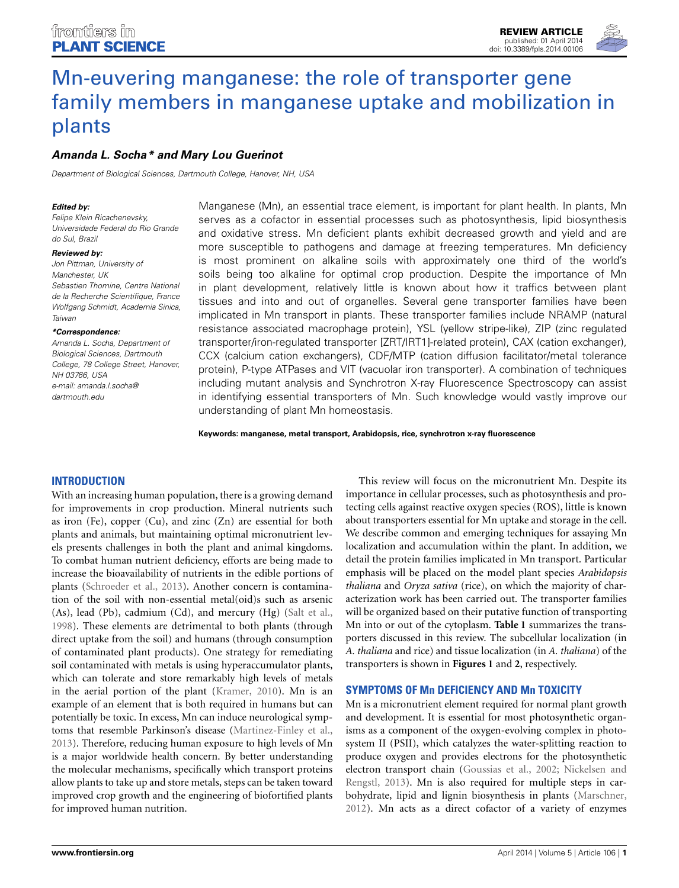

# Mn-euvering manganese: the role of transporter gene [family members in manganese uptake and mobilization in](http://www.frontiersin.org/journal/10.3389/fpls.2014.00106/abstract) plants

# *[Amanda L. Socha](http://community.frontiersin.org/people/u/114006)\* and [Mary Lou Guerinot](http://community.frontiersin.org/people/u/30573)*

*Department of Biological Sciences, Dartmouth College, Hanover, NH, USA*

#### *Edited by:*

*Felipe Klein Ricachenevsky, Universidade Federal do Rio Grande do Sul, Brazil*

#### *Reviewed by:*

*Jon Pittman, University of Manchester, UK Sebastien Thomine, Centre National de la Recherche Scientifique, France Wolfgang Schmidt, Academia Sinica, Taiwan*

#### *\*Correspondence:*

*Amanda L. Socha, Department of Biological Sciences, Dartmouth College, 78 College Street, Hanover, NH 03766, USA e-mail: [amanda.l.socha@](mailto:amanda.l.socha@dartmouth.edu) [dartmouth.edu](mailto:amanda.l.socha@dartmouth.edu)*

Manganese (Mn), an essential trace element, is important for plant health. In plants, Mn serves as a cofactor in essential processes such as photosynthesis, lipid biosynthesis and oxidative stress. Mn deficient plants exhibit decreased growth and yield and are more susceptible to pathogens and damage at freezing temperatures. Mn deficiency is most prominent on alkaline soils with approximately one third of the world's soils being too alkaline for optimal crop production. Despite the importance of Mn in plant development, relatively little is known about how it traffics between plant tissues and into and out of organelles. Several gene transporter families have been implicated in Mn transport in plants. These transporter families include NRAMP (natural resistance associated macrophage protein), YSL (yellow stripe-like), ZIP (zinc regulated transporter/iron-regulated transporter [ZRT/IRT1]-related protein), CAX (cation exchanger), CCX (calcium cation exchangers), CDF/MTP (cation diffusion facilitator/metal tolerance protein), P-type ATPases and VIT (vacuolar iron transporter). A combination of techniques including mutant analysis and Synchrotron X-ray Fluorescence Spectroscopy can assist in identifying essential transporters of Mn. Such knowledge would vastly improve our understanding of plant Mn homeostasis.

**Keywords: manganese, metal transport, Arabidopsis, rice, synchrotron x-ray fluorescence**

## **INTRODUCTION**

With an increasing human population, there is a growing demand for improvements in crop production. Mineral nutrients such as iron (Fe), copper (Cu), and zinc (Zn) are essential for both plants and animals, but maintaining optimal micronutrient levels presents challenges in both the plant and animal kingdoms. To combat human nutrient deficiency, efforts are being made to increase the bioavailability of nutrients in the edible portions of plants [\(Schroeder et al.](#page-15-0), [2013](#page-15-0)). Another concern is contamination of the soil with non-essential metal(oid)s such as arsenic (As), lead (Pb), cadmium (Cd), and mercury (Hg) [\(Salt et al.,](#page-15-1) [1998](#page-15-1)). These elements are detrimental to both plants (through direct uptake from the soil) and humans (through consumption of contaminated plant products). One strategy for remediating soil contaminated with metals is using hyperaccumulator plants, which can tolerate and store remarkably high levels of metals in the aerial portion of the plant [\(Kramer, 2010\)](#page-14-0). Mn is an example of an element that is both required in humans but can potentially be toxic. In excess, Mn can induce neurological symptoms that resemble Parkinson's disease [\(Martinez-Finley et al.,](#page-14-1) [2013](#page-14-1)). Therefore, reducing human exposure to high levels of Mn is a major worldwide health concern. By better understanding the molecular mechanisms, specifically which transport proteins allow plants to take up and store metals, steps can be taken toward improved crop growth and the engineering of biofortified plants for improved human nutrition.

This review will focus on the micronutrient Mn. Despite its importance in cellular processes, such as photosynthesis and protecting cells against reactive oxygen species (ROS), little is known about transporters essential for Mn uptake and storage in the cell. We describe common and emerging techniques for assaying Mn localization and accumulation within the plant. In addition, we detail the protein families implicated in Mn transport. Particular emphasis will be placed on the model plant species *Arabidopsis thaliana* and *Oryza sativa* (rice), on which the majority of characterization work has been carried out. The transporter families will be organized based on their putative function of transporting Mn into or out of the cytoplasm. **[Table 1](#page-2-0)** summarizes the transporters discussed in this review. The subcellular localization (in *A. thaliana* and rice) and tissue localization (in *A. thaliana*) of the transporters is shown in **[Figures 1](#page-4-0)** and **[2](#page-5-0)**, respectively.

## **SYMPTOMS OF Mn DEFICIENCY AND Mn TOXICITY**

Mn is a micronutrient element required for normal plant growth and development. It is essential for most photosynthetic organisms as a component of the oxygen-evolving complex in photosystem II (PSII), which catalyzes the water-splitting reaction to produce oxygen and provides electrons for the photosynthetic electro[n transport chain](#page-14-2) [\(Goussias et al., 2002](#page-13-0)[;](#page-14-2) Nickelsen and Rengstl, [2013\)](#page-14-2). Mn is also required for multiple steps in carbohydrate, lipid and lignin biosynthesis in plants [\(Marschner,](#page-14-3) [2012](#page-14-3)). Mn acts as a direct cofactor of a variety of enzymes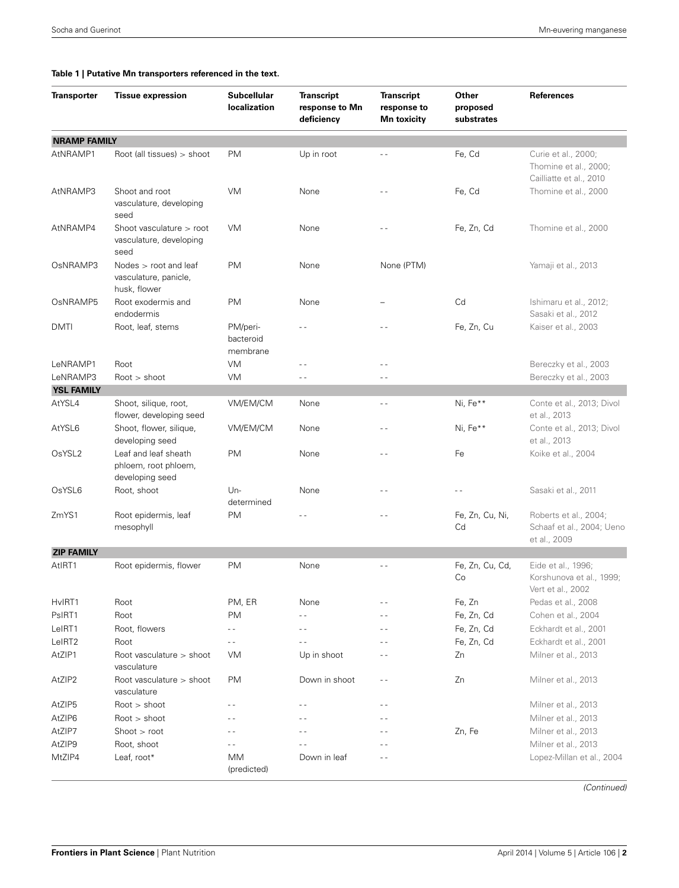## <span id="page-2-0"></span>**Table 1 | Putative Mn transporters referenced in the text.**

| <b>Transporter</b>  | <b>Tissue expression</b>                                         | <b>Subcellular</b><br>localization       | <b>Transcript</b><br>response to Mn<br>deficiency | <b>Transcript</b><br>response to<br>Mn toxicity | Other<br>proposed<br>substrates | <b>References</b>                                                       |
|---------------------|------------------------------------------------------------------|------------------------------------------|---------------------------------------------------|-------------------------------------------------|---------------------------------|-------------------------------------------------------------------------|
| <b>NRAMP FAMILY</b> |                                                                  |                                          |                                                   |                                                 |                                 |                                                                         |
| AtNRAMP1            | Root (all tissues) $>$ shoot                                     | <b>PM</b>                                | Up in root                                        | $\omega_{\rm c}$                                | Fe, Cd                          | Curie et al., 2000;<br>Thomine et al., 2000;<br>Cailliatte et al., 2010 |
| AtNRAMP3            | Shoot and root<br>vasculature, developing<br>seed                | <b>VM</b>                                | None                                              | $\sim$ $\sim$                                   | Fe, Cd                          | Thomine et al., 2000                                                    |
| AtNRAMP4            | Shoot vasculature $>$ root<br>vasculature, developing<br>seed    | VM                                       | None                                              | $\sim$ $\sim$                                   | Fe, Zn, Cd                      | Thomine et al., 2000                                                    |
| OsNRAMP3            | $Nodes > root$ and leaf<br>vasculature, panicle,<br>husk, flower | <b>PM</b>                                | None                                              | None (PTM)                                      |                                 | Yamaji et al., 2013                                                     |
| OsNRAMP5            | Root exodermis and<br>endodermis                                 | PM                                       | None                                              |                                                 | Cd                              | Ishimaru et al., 2012;<br>Sasaki et al., 2012                           |
| <b>DMTI</b>         | Root, leaf, stems                                                | PM/peri-<br>bacteroid<br>membrane        | $\sim$ $\sim$                                     | $\sim$ $\sim$                                   | Fe, Zn, Cu                      | Kaiser et al., 2003                                                     |
| LeNRAMP1            | Root                                                             | VM                                       | $\sim$ $\sim$                                     | $\overline{\phantom{a}}$                        |                                 | Bereczky et al., 2003                                                   |
| LeNRAMP3            | Root > shoot                                                     | VM                                       |                                                   | - -                                             |                                 | Bereczky et al., 2003                                                   |
| <b>YSL FAMILY</b>   |                                                                  |                                          |                                                   |                                                 |                                 |                                                                         |
| AtYSL4              | Shoot, silique, root,<br>flower, developing seed                 | VM/EM/CM                                 | None                                              | $\overline{a}$                                  | Ni, Fe**                        | Conte et al., 2013; Divol<br>et al., 2013                               |
| AtYSL6              | Shoot, flower, silique,<br>developing seed                       | VM/EM/CM                                 | None                                              | $ -$                                            | Ni, Fe**                        | Conte et al., 2013; Divol<br>et al., 2013                               |
| OsYSL2              | Leaf and leaf sheath<br>phloem, root phloem,<br>developing seed  | <b>PM</b>                                | None                                              | $\sim$ $\sim$                                   | Fe                              | Koike et al., 2004                                                      |
| OsYSL6              | Root, shoot                                                      | Un-<br>determined                        | None                                              | $\sim$ $\sim$                                   |                                 | Sasaki et al., 2011                                                     |
| ZmYS1               | Root epidermis, leaf<br>mesophyll                                | PM                                       | $\sim$ $\sim$                                     | $\sim$ $\sim$                                   | Fe, Zn, Cu, Ni,<br>Cd           | Roberts et al., 2004;<br>Schaaf et al., 2004; Ueno<br>et al., 2009      |
| <b>ZIP FAMILY</b>   |                                                                  |                                          |                                                   |                                                 |                                 |                                                                         |
| AtIRT1              | Root epidermis, flower                                           | <b>PM</b>                                | None                                              | $\frac{1}{2}$                                   | Fe, Zn, Cu, Cd,<br>Co           | Eide et al., 1996;<br>Korshunova et al., 1999;<br>Vert et al., 2002     |
| HvIRT1              | Root                                                             | PM, ER                                   | None                                              | - -                                             | Fe, Zn                          | Pedas et al., 2008                                                      |
| PsIRT1              | Root                                                             | PM                                       | $\sim$ $\sim$                                     | $\sim$ $\sim$                                   | Fe, Zn, Cd                      | Cohen et al., 2004                                                      |
| LeIRT1              | Root, flowers                                                    | $\frac{1}{2} \left( \frac{1}{2} \right)$ |                                                   | - -                                             | Fe, Zn, Cd                      | Eckhardt et al., 2001                                                   |
| LeIRT <sub>2</sub>  | Root                                                             | $\sim$ $-$                               | $ -$                                              | - -                                             | Fe, Zn, Cd                      | Eckhardt et al., 2001                                                   |
| AtZIP1              | Root vasculature $>$ shoot<br>vasculature                        | VM                                       | Up in shoot                                       | $ -$                                            | Zn                              | Milner et al., 2013                                                     |
| AtZIP2              | Root vasculature $>$ shoot<br>vasculature                        | PM                                       | Down in shoot                                     | $\frac{1}{2}$                                   | Zn                              | Milner et al., 2013                                                     |
| AtZIP5              | Root > shoot                                                     | $ -$                                     |                                                   | - -                                             |                                 | Milner et al., 2013                                                     |
| AtZIP6              | Root > shoot                                                     | $ -$                                     | $ -$                                              | $\sim$ $\sim$                                   |                                 | Milner et al., 2013                                                     |
| AtZIP7              | Show > root                                                      | $ -$                                     |                                                   | - -                                             | Zn, Fe                          | Milner et al., 2013                                                     |
| AtZIP9              | Root, shoot                                                      | $\frac{1}{2} \left( \frac{1}{2} \right)$ | $ -$                                              | $ -$                                            |                                 | Milner et al., 2013                                                     |
| MtZIP4              | Leaf, root*                                                      | МM<br>(predicted)                        | Down in leaf                                      | - -                                             |                                 | Lopez-Millan et al., 2004                                               |

*(Continued)*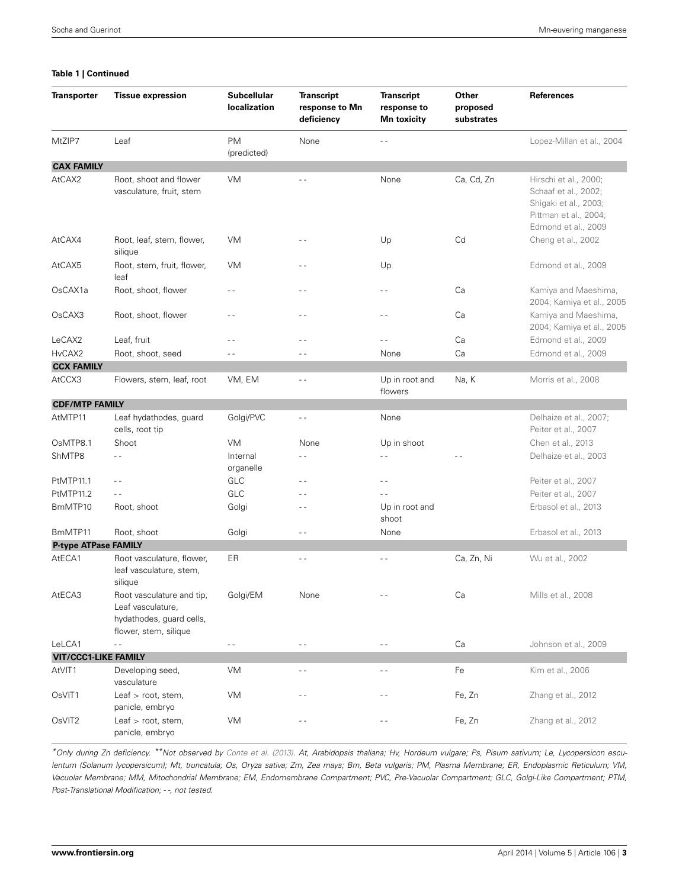## **Table 1 | Continued**

| <b>Transporter</b>          | <b>Tissue expression</b>                                                                            | <b>Subcellular</b><br>localization | <b>Transcript</b><br>response to Mn<br>deficiency | <b>Transcript</b><br>response to<br>Mn toxicity | Other<br>proposed<br>substrates | <b>References</b>                                                                                                      |
|-----------------------------|-----------------------------------------------------------------------------------------------------|------------------------------------|---------------------------------------------------|-------------------------------------------------|---------------------------------|------------------------------------------------------------------------------------------------------------------------|
| MtZIP7                      | Leaf                                                                                                | <b>PM</b><br>(predicted)           | None                                              | $\sim$ $\sim$                                   |                                 | Lopez-Millan et al., 2004                                                                                              |
| <b>CAX FAMILY</b>           |                                                                                                     |                                    |                                                   |                                                 |                                 |                                                                                                                        |
| AtCAX2                      | Root, shoot and flower<br>vasculature, fruit, stem                                                  | <b>VM</b>                          |                                                   | None                                            | Ca, Cd, Zn                      | Hirschi et al., 2000;<br>Schaaf et al., 2002;<br>Shigaki et al., 2003;<br>Pittman et al., 2004;<br>Edmond et al., 2009 |
| AtCAX4                      | Root, leaf, stem, flower,<br>silique                                                                | VM                                 |                                                   | Up                                              | Cd                              | Cheng et al., 2002                                                                                                     |
| AtCAX5                      | Root, stem, fruit, flower,<br>leaf                                                                  | VM                                 | $\sim$ $\sim$                                     | Up                                              |                                 | Edmond et al., 2009                                                                                                    |
| OsCAX1a                     | Root, shoot, flower                                                                                 | $\sim$ $\sim$                      | $\sim$ $\sim$                                     | $\overline{\phantom{a}}$                        | Ca                              | Kamiya and Maeshima,<br>2004; Kamiya et al., 2005                                                                      |
| OsCAX3                      | Root, shoot, flower                                                                                 | $\sim$ $\sim$                      | $\sim$ $\sim$                                     | $\sim$ $\sim$                                   | Ca                              | Kamiya and Maeshima,<br>2004; Kamiya et al., 2005                                                                      |
| LeCAX2                      | Leaf, fruit                                                                                         | - -                                | $ -$                                              | - -                                             | Ca                              | Edmond et al., 2009                                                                                                    |
| HvCAX2                      | Root, shoot, seed                                                                                   | $\sim$ $\sim$                      | $\frac{1}{2}$                                     | None                                            | Ca                              | Edmond et al., 2009                                                                                                    |
| <b>CCX FAMILY</b>           |                                                                                                     |                                    |                                                   |                                                 |                                 |                                                                                                                        |
| AtCCX3                      | Flowers, stem, leaf, root                                                                           | VM, EM                             | $\sim$ $\sim$                                     | Up in root and<br>flowers                       | Na, K                           | Morris et al., 2008                                                                                                    |
| <b>CDF/MTP FAMILY</b>       |                                                                                                     |                                    |                                                   |                                                 |                                 |                                                                                                                        |
| AtMTP11                     | Leaf hydathodes, guard<br>cells, root tip                                                           | Golgi/PVC                          | $\omega_{\rm c}$                                  | None                                            |                                 | Delhaize et al., 2007;<br>Peiter et al., 2007                                                                          |
| OsMTP8.1                    | Shoot                                                                                               | <b>VM</b>                          | None                                              | Up in shoot                                     |                                 | Chen et al., 2013                                                                                                      |
| ShMTP8                      | $ -$                                                                                                | Internal<br>organelle              | $\sim$ $\sim$                                     | $\sim$ $\sim$                                   |                                 | Delhaize et al., 2003                                                                                                  |
| <b>PtMTP11.1</b>            | $\sim$ $\sim$                                                                                       | GLC                                | $ -$                                              | $\overline{\phantom{a}}$                        |                                 | Peiter et al., 2007                                                                                                    |
| PtMTP11.2                   | $\overline{a}$                                                                                      | <b>GLC</b>                         | $\sim$ $\sim$                                     | $-$                                             |                                 | Peiter et al., 2007                                                                                                    |
| BmMTP10                     | Root, shoot                                                                                         | Golgi                              | $ -$                                              | Up in root and<br>shoot                         |                                 | Erbasol et al., 2013                                                                                                   |
| BmMTP11                     | Root, shoot                                                                                         | Golgi                              | $\frac{1}{2}$                                     | None                                            |                                 | Erbasol et al., 2013                                                                                                   |
| P-type ATPase FAMILY        |                                                                                                     |                                    |                                                   |                                                 |                                 |                                                                                                                        |
| AtECA1                      | Root vasculature, flower,<br>leaf vasculature, stem,<br>silique                                     | ER                                 | $\sim$ $\sim$                                     | $\overline{a}$                                  | Ca, Zn, Ni                      | Wu et al., 2002                                                                                                        |
| AtECA3                      | Root vasculature and tip,<br>Leaf vasculature,<br>hydathodes, guard cells,<br>flower, stem, silique | Golgi/EM                           | None                                              |                                                 | Ca                              | Mills et al., 2008                                                                                                     |
| LeLCA1                      | - -                                                                                                 | $\frac{1}{2}$                      | $\sim$ $\sim$                                     | - -                                             | Ca                              | Johnson et al., 2009                                                                                                   |
| <b>VIT/CCC1-LIKE FAMILY</b> |                                                                                                     |                                    |                                                   |                                                 |                                 |                                                                                                                        |
| AtVIT1                      | Developing seed,<br>vasculature                                                                     | VM                                 | $\sim$ $\sim$                                     | $\sim$ $\sim$                                   | Fe                              | Kim et al., 2006                                                                                                       |
| OsVIT1                      | Leaf $>$ root, stem,<br>panicle, embryo                                                             | VM                                 |                                                   | - -                                             | Fe, Zn                          | Zhang et al., 2012                                                                                                     |
| OsVIT2                      | Leaf $>$ root, stem,<br>panicle, embryo                                                             | VM                                 |                                                   |                                                 | Fe, Zn                          | Zhang et al., 2012                                                                                                     |

*\*Only during Zn deficiency. \*\*Not observed by [Conte et al.](#page-12-3) [\(2013](#page-12-3)). At, Arabidopsis thaliana; Hv, Hordeum vulgare; Ps, Pisum sativum; Le, Lycopersicon esculentum (Solanum lycopersicum); Mt, truncatula; Os, Oryza sativa; Zm, Zea mays; Bm, Beta vulgaris; PM, Plasma Membrane; ER, Endoplasmic Reticulum; VM, Vacuolar Membrane; MM, Mitochondrial Membrane; EM, Endomembrane Compartment; PVC, Pre-Vacuolar Compartment; GLC, Golgi-Like Compartment; PTM, Post-Translational Modification; - -, not tested.*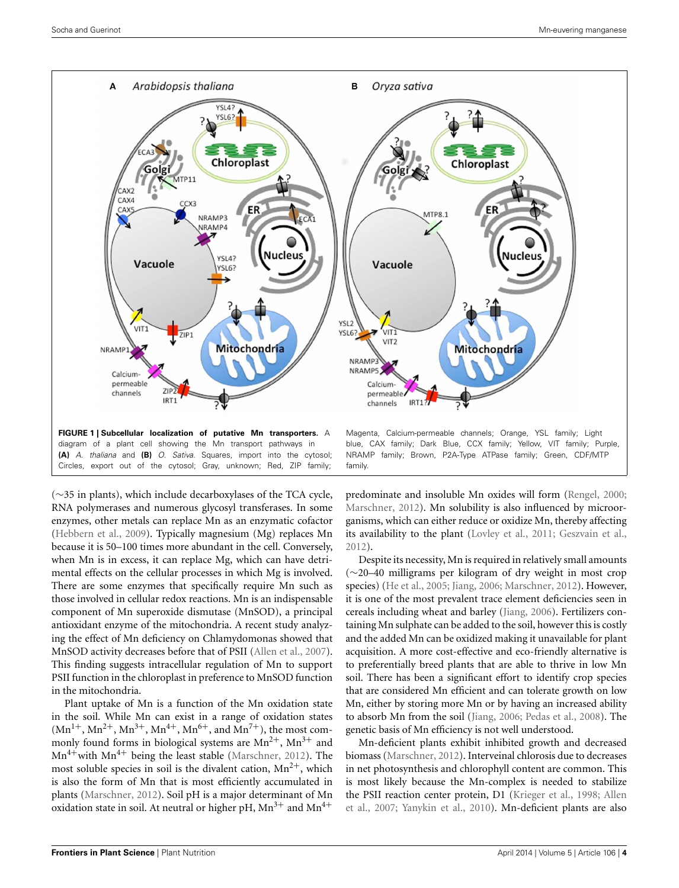

<span id="page-4-0"></span>(∼35 in plants), which include decarboxylases of the TCA cycle, RNA polymerases and numerous glycosyl transferases. In some enzymes, other metals can replace Mn as an enzymatic cofactor [\(Hebbern et al.](#page-13-10), [2009](#page-13-10)). Typically magnesium (Mg) replaces Mn because it is 50–100 times more abundant in the cell. Conversely, when Mn is in excess, it can replace Mg, which can have detrimental effects on the cellular processes in which Mg is involved. There are some enzymes that specifically require Mn such as those involved in cellular redox reactions. Mn is an indispensable component of Mn superoxide dismutase (MnSOD), a principal antioxidant enzyme of the mitochondria. A recent study analyzing the effect of Mn deficiency on Chlamydomonas showed that MnSOD activity decreases before that of PSII [\(Allen et al.](#page-12-7), [2007](#page-12-7)). This finding suggests intracellular regulation of Mn to support PSII function in the chloroplast in preference to MnSOD function in the mitochondria.

Plant uptake of Mn is a function of the Mn oxidation state in the soil. While Mn can exist in a range of oxidation states  $(Mn^{1+}, Mn^{2+}, Mn^{3+}, Mn^{4+}, Mn^{6+}, and Mn^{7+})$ , the most commonly found forms in biological systems are  $Mn^{2+}$ ,  $Mn^{3+}$  and  $Mn^{4+}$  with  $Mn^{4+}$  being the least stable [\(Marschner](#page-14-3), [2012\)](#page-14-3). The most soluble species in soil is the divalent cation,  $Mn^{2+}$ , which is also the form of Mn that is most efficiently accumulated in plants [\(Marschner](#page-14-3), [2012](#page-14-3)). Soil pH is a major determinant of Mn oxidation state in soil. At neutral or higher pH,  $Mn^{3+}$  and  $Mn^{4+}$ 

predominate and insoluble Mn oxides will form [\(Rengel, 2000](#page-15-15); [Marschner](#page-14-3), [2012\)](#page-14-3). Mn solubility is also influenced by microorganisms, which can either reduce or oxidize Mn, thereby affecting its availability to the plant [\(Lovley et al., 2011;](#page-14-15) [Geszvain et al.](#page-13-11), [2012](#page-13-11)).

Despite its necessity, Mn is required in relatively small amounts (∼20–40 milligrams per kilogram of dry weight in most crop species) [\(He et al., 2005](#page-13-12); [Jiang, 2006](#page-13-13); [Marschner, 2012](#page-14-3)). However, it is one of the most prevalent trace element deficiencies seen in cereals including wheat and barley [\(Jiang, 2006\)](#page-13-13). Fertilizers containing Mn sulphate can be added to the soil, however this is costly and the added Mn can be oxidized making it unavailable for plant acquisition. A more cost-effective and eco-friendly alternative is to preferentially breed plants that are able to thrive in low Mn soil. There has been a significant effort to identify crop species that are considered Mn efficient and can tolerate growth on low Mn, either by storing more Mn or by having an increased ability to absorb Mn from the soil [\(Jiang, 2006;](#page-13-13) [Pedas et al.](#page-15-9), [2008](#page-15-9)). The genetic basis of Mn efficiency is not well understood.

Mn-deficient plants exhibit inhibited growth and decreased biomass [\(Marschner](#page-14-3), [2012\)](#page-14-3). Interveinal chlorosis due to decreases in net photosynthesis and chlorophyll content are common. This is most likely because the Mn-complex is needed to stabilize the [PSII reaction center protein, D1](#page-12-7) [\(Krieger et al.](#page-14-16)[,](#page-12-7) [1998](#page-14-16)[;](#page-12-7) Allen et al., [2007;](#page-12-7) [Yanykin et al., 2010](#page-16-2)). Mn-deficient plants are also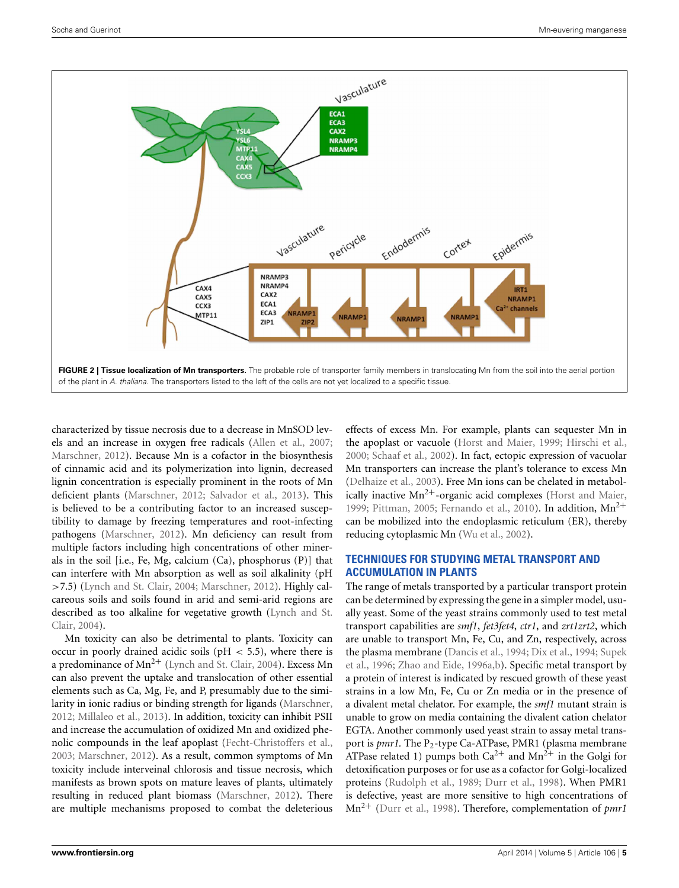

<span id="page-5-0"></span>characterized by tissue necrosis due to a decrease in MnSOD levels and an increase in oxygen free radicals [\(Allen et al.](#page-12-7), [2007;](#page-12-7) [Marschner](#page-14-3), [2012\)](#page-14-3). Because Mn is a cofactor in the biosynthesis of cinnamic acid and its polymerization into lignin, decreased lignin concentration is especially prominent in the roots of Mn deficient plants [\(Marschner](#page-14-3), [2012;](#page-14-3) [Salvador et al., 2013](#page-15-16)). This is believed to be a contributing factor to an increased susceptibility to damage by freezing temperatures and root-infecting pathogens [\(Marschner](#page-14-3), [2012](#page-14-3)). Mn deficiency can result from multiple factors including high concentrations of other minerals in the soil [i.e., Fe, Mg, calcium (Ca), phosphorus (P)] that can interfere with Mn absorption as well as soil alkalinity (pH *>*7.5) [\(Lynch and St. Clair](#page-14-17), [2004](#page-14-17); [Marschner](#page-14-3), [2012\)](#page-14-3). Highly calcareous soils and soils found in arid and semi-arid regions are desc[ribed as too alkaline for vegetative growth \(](#page-14-17)Lynch and St. Clair, [2004\)](#page-14-17).

Mn toxicity can also be detrimental to plants. Toxicity can occur in poorly drained acidic soils (pH *<* 5.5), where there is a predominance of  $Mn^{2+}$  [\(Lynch and St. Clair, 2004\)](#page-14-17). Excess Mn can also prevent the uptake and translocation of other essential elements such as Ca, Mg, Fe, and P, presumably due to the similarity in ionic radius or binding strength for ligands [\(Marschner,](#page-14-3) [2012](#page-14-3); [Millaleo et al., 2013\)](#page-14-18). In addition, toxicity can inhibit PSII and increase the accumulation of oxidized Mn and oxidized phenolic compounds in the leaf apoplast [\(Fecht-Christoffers et al.,](#page-13-14) [2003](#page-13-14); [Marschner, 2012](#page-14-3)). As a result, common symptoms of Mn toxicity include interveinal chlorosis and tissue necrosis, which manifests as brown spots on mature leaves of plants, ultimately resulting in reduced plant biomass [\(Marschner](#page-14-3), [2012](#page-14-3)). There are multiple mechanisms proposed to combat the deleterious

effects of excess Mn. For example, plants can sequester Mn in the apoplast or vacuole [\(Horst and Maier](#page-13-15), [1999](#page-13-15); [Hirschi et al.,](#page-13-5) [2000](#page-13-5); [Schaaf et al.](#page-15-10), [2002\)](#page-15-10). In fact, ectopic expression of vacuolar Mn transporters can increase the plant's tolerance to excess Mn [\(Delhaize et al.](#page-13-8), [2003](#page-13-8)). Free Mn ions can be chelated in metabol-ically inactive Mn<sup>2+</sup>-organic acid complexes [\(Horst and Maier,](#page-13-15) [1999](#page-13-15); [Pittman, 2005](#page-15-17); [Fernando et al.](#page-13-16), [2010\)](#page-13-16). In addition,  $Mn^{2+}$ can be mobilized into the endoplasmic reticulum (ER), thereby reducing cytoplasmic Mn [\(Wu et al.](#page-15-14), [2002\)](#page-15-14).

## **TECHNIQUES FOR STUDYING METAL TRANSPORT AND ACCUMULATION IN PLANTS**

The range of metals transported by a particular transport protein can be determined by expressing the gene in a simpler model, usually yeast. Some of the yeast strains commonly used to test metal transport capabilities are *smf1*, *fet3fet4*, *ctr1*, and *zrt1zrt2*, which are unable to transport Mn, Fe, Cu, and Zn, respectively, across the [plasma membrane](#page-15-18) [\(Dancis et al.](#page-13-17)[,](#page-15-18) [1994;](#page-13-17) [Dix et al., 1994](#page-13-18)[;](#page-15-18) Supek et al., [1996](#page-15-18); [Zhao and Eide, 1996a](#page-16-3)[,b\)](#page-16-4). Specific metal transport by a protein of interest is indicated by rescued growth of these yeast strains in a low Mn, Fe, Cu or Zn media or in the presence of a divalent metal chelator. For example, the *smf1* mutant strain is unable to grow on media containing the divalent cation chelator EGTA. Another commonly used yeast strain to assay metal transport is *pmr1.* The P2-type Ca-ATPase, PMR1 (plasma membrane ATPase related 1) pumps both  $Ca^{2+}$  and  $Mn^{2+}$  in the Golgi for detoxification purposes or for use as a cofactor for Golgi-localized proteins [\(Rudolph et al.](#page-15-19), [1989](#page-15-19); [Durr et al., 1998](#page-13-19)). When PMR1 is defective, yeast are more sensitive to high concentrations of Mn2<sup>+</sup> [\(Durr et al., 1998](#page-13-19)). Therefore, complementation of *pmr1*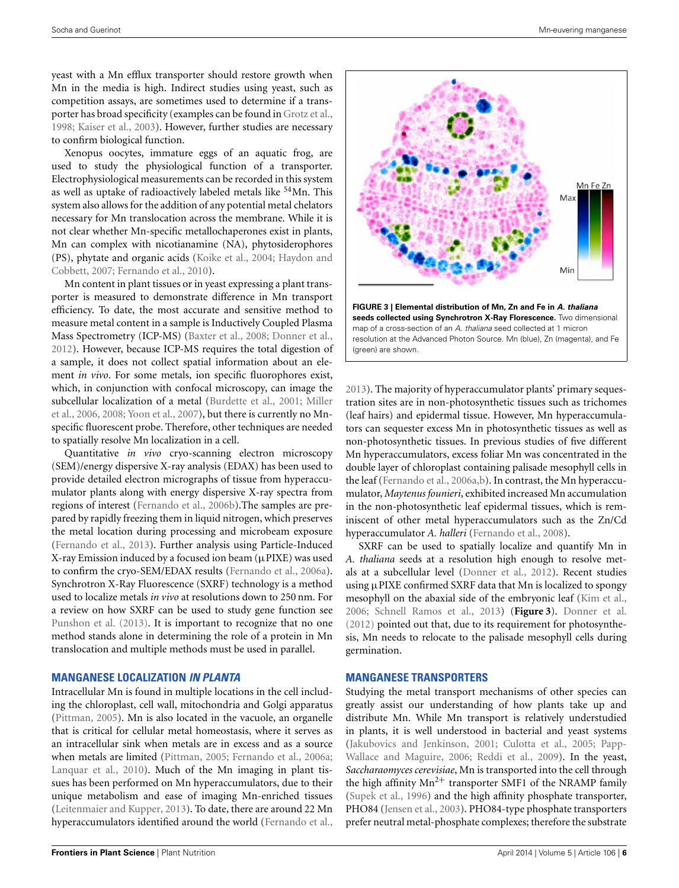yeast with a Mn efflux transporter should restore growth when Mn in the media is high. Indirect studies using yeast, such as competition assays, are sometimes used to determine if a transporter has broad specificity (examples can be found in [Grotz et al.](#page-13-20), [1998](#page-13-20); [Kaiser et al., 2003](#page-14-4)). However, further studies are necessary to confirm biological function.

Xenopus oocytes, immature eggs of an aquatic frog, are used to study the physiological function of a transporter. Electrophysiological measurements can be recorded in this system as well as uptake of radioactively labeled metals like 54Mn. This system also allows for the addition of any potential metal chelators necessary for Mn translocation across the membrane. While it is not clear whether Mn-specific metallochaperones exist in plants, Mn can complex with nicotianamine (NA), phytosiderophores (PS), p[hytate](#page-13-21) [and](#page-13-21) [organic](#page-13-21) [acids](#page-13-21) [\(Koike et al., 2004](#page-14-5)[;](#page-13-21) Haydon and Cobbett, [2007;](#page-13-21) [Fernando et al., 2010\)](#page-13-16).

Mn content in plant tissues or in yeast expressing a plant transporter is measured to demonstrate difference in Mn transport efficiency. To date, the most accurate and sensitive method to measure metal content in a sample is Inductively Coupled Plasma Mass Spectrometry (ICP-MS) [\(Baxter et al., 2008;](#page-12-8) [Donner et al.](#page-13-22), [2012](#page-13-22)). However, because ICP-MS requires the total digestion of a sample, it does not collect spatial information about an element *in vivo*. For some metals, ion specific fluorophores exist, which, in conjunction with confocal microscopy, can image the subc[ellular](#page-14-19) [localization](#page-14-19) [of](#page-14-19) [a](#page-14-19) [metal](#page-14-19) [\(Burdette et al.](#page-12-9)[,](#page-14-19) [2001](#page-12-9)[;](#page-14-19) Miller et al., [2006](#page-14-19), [2008;](#page-14-20) [Yoon et al.](#page-16-5), [2007](#page-16-5)), but there is currently no Mnspecific fluorescent probe. Therefore, other techniques are needed to spatially resolve Mn localization in a cell.

Quantitative *in vivo* cryo-scanning electron microscopy (SEM)/energy dispersive X-ray analysis (EDAX) has been used to provide detailed electron micrographs of tissue from hyperaccumulator plants along with energy dispersive X-ray spectra from regions of interest [\(Fernando et al., 2006b\)](#page-13-23).The samples are prepared by rapidly freezing them in liquid nitrogen, which preserves the metal location during processing and microbeam exposure [\(Fernando et al.](#page-13-24), [2013](#page-13-24)). Further analysis using Particle-Induced X-ray Emission induced by a focused ion beam  $(\mu$ PIXE) was used to confirm the cryo-SEM/EDAX results [\(Fernando et al., 2006a\)](#page-13-25). Synchrotron X-Ray Fluorescence (SXRF) technology is a method used to localize metals *in vivo* at resolutions down to 250 nm. For a review on how SXRF can be used to study gene function see [Punshon et al.](#page-15-20) [\(2013](#page-15-20)). It is important to recognize that no one method stands alone in determining the role of a protein in Mn translocation and multiple methods must be used in parallel.

## **MANGANESE LOCALIZATION** *IN PLANTA*

Intracellular Mn is found in multiple locations in the cell including the chloroplast, cell wall, mitochondria and Golgi apparatus [\(Pittman, 2005](#page-15-17)). Mn is also located in the vacuole, an organelle that is critical for cellular metal homeostasis, where it serves as an intracellular sink when metals are in excess and as a source when metals are limited [\(Pittman](#page-15-17), [2005;](#page-15-17) [Fernando et al., 2006a;](#page-13-25) [Lanquar et al.](#page-14-21), [2010](#page-14-21)). Much of the Mn imaging in plant tissues has been performed on Mn hyperaccumulators, due to their unique metabolism and ease of imaging Mn-enriched tissues [\(Leitenmaier and Kupper, 2013](#page-14-22)). To date, there are around 22 Mn hyperaccumulators identified around the world [\(Fernando et al.](#page-13-24),



<span id="page-6-0"></span>[2013](#page-13-24)). The majority of hyperaccumulator plants' primary sequestration sites are in non-photosynthetic tissues such as trichomes (leaf hairs) and epidermal tissue. However, Mn hyperaccumulators can sequester excess Mn in photosynthetic tissues as well as non-photosynthetic tissues. In previous studies of five different Mn hyperaccumulators, excess foliar Mn was concentrated in the double layer of chloroplast containing palisade mesophyll cells in the leaf [\(Fernando et al., 2006a](#page-13-25)[,b](#page-13-23)). In contrast, the Mn hyperaccumulator, *Maytenus founieri*, exhibited increased Mn accumulation in the non-photosynthetic leaf epidermal tissues, which is reminiscent of other metal hyperaccumulators such as the Zn/Cd hyperaccumulator *A. halleri* [\(Fernando et al., 2008](#page-13-26)).

SXRF can be used to spatially localize and quantify Mn in *A. thaliana* seeds at a resolution high enough to resolve metals at a subcellular level [\(Donner et al.](#page-13-22), [2012\)](#page-13-22). Recent studies using µPIXE confirmed SXRF data that Mn is localized to spongy mesophyll on the abaxial side of the embryonic leaf [\(Kim et al.](#page-14-14), [2006](#page-14-14); [Schnell Ramos et al.](#page-15-21), [2013](#page-15-21)) (**[Figure 3](#page-6-0)**). [Donner et al.](#page-13-22) [\(2012\)](#page-13-22) pointed out that, due to its requirement for photosynthesis, Mn needs to relocate to the palisade mesophyll cells during germination.

## **MANGANESE TRANSPORTERS**

Studying the metal transport mechanisms of other species can greatly assist our understanding of how plants take up and distribute Mn. While Mn transport is relatively understudied in plants, it is well understood in bacterial and yeast systems [\(Jakubovics and Jenkinson](#page-13-27)[,](#page-14-23) [2001](#page-13-27)[;](#page-14-23) [Culotta et al.](#page-12-10)[,](#page-14-23) [2005](#page-12-10)[;](#page-14-23) Papp-Wallace and Maguire, [2006;](#page-14-23) [Reddi et al.](#page-15-22), [2009\)](#page-15-22). In the yeast, *Saccharaomyces cerevisiae*, Mn is transported into the cell through the high affinity  $Mn^{2+}$  transporter SMF1 of the NRAMP family [\(Supek et al.](#page-15-18), [1996\)](#page-15-18) and the high affinity phosphate transporter, PHO84 [\(Jensen et al.](#page-13-28), [2003\)](#page-13-28). PHO84-type phosphate transporters prefer neutral metal-phosphate complexes; therefore the substrate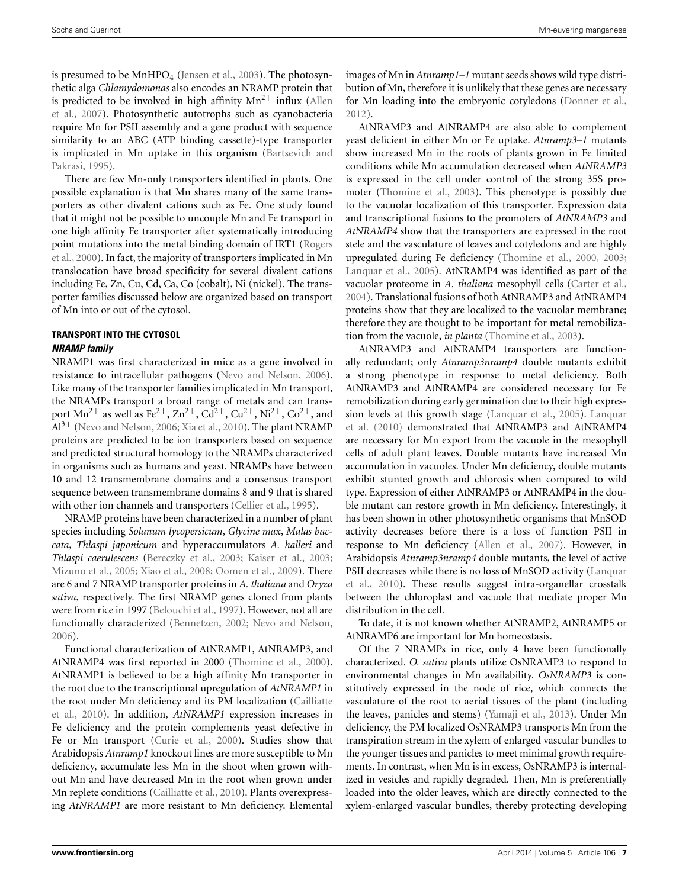is presumed to be  $MnHPO<sub>4</sub>$  [\(Jensen et al.](#page-13-28), [2003](#page-13-28)). The photosynthetic alga *Chlamydomonas* also encodes an NRAMP protein that is predicted to be involved in high affinity  $Mn^{2+}$  influx (Allen et al., [2007\)](#page-12-7). Photosynthetic autotrophs such as cyanobacteria require Mn for PSII assembly and a gene product with sequence similarity to an ABC (ATP binding cassette)-type transporter is imp[licated in Mn uptake in this organism \(](#page-12-11)Bartsevich and Pakrasi, [1995](#page-12-11)).

There are few Mn-only transporters identified in plants. One possible explanation is that Mn shares many of the same transporters as other divalent cations such as Fe. One study found that it might not be possible to uncouple Mn and Fe transport in one high affinity Fe transporter after systematically introducing poin[t mutations into the metal binding domain of IRT1 \(](#page-15-23)Rogers et al., [2000](#page-15-23)). In fact, the majority of transporters implicated in Mn translocation have broad specificity for several divalent cations including Fe, Zn, Cu, Cd, Ca, Co (cobalt), Ni (nickel). The transporter families discussed below are organized based on transport of Mn into or out of the cytosol.

#### **TRANSPORT INTO THE CYTOSOL** *NRAMP family*

NRAMP1 was first characterized in mice as a gene involved in resistance to intracellular pathogens [\(Nevo and Nelson, 2006](#page-14-24)). Like many of the transporter families implicated in Mn transport, the NRAMPs transport a broad range of metals and can transport  $Mn^{2+}$  as well as Fe<sup>2+</sup>, Zn<sup>2+</sup>, Cd<sup>2+</sup>, Cu<sup>2+</sup>, Ni<sup>2+</sup>, Co<sup>2+</sup>, and  $Al^{3+}$  [\(Nevo and Nelson](#page-14-24), [2006](#page-14-24); [Xia et al.](#page-15-24), [2010\)](#page-15-24). The plant NRAMP proteins are predicted to be ion transporters based on sequence and predicted structural homology to the NRAMPs characterized in organisms such as humans and yeast. NRAMPs have between 10 and 12 transmembrane domains and a consensus transport sequence between transmembrane domains 8 and 9 that is shared with other ion channels and transporters [\(Cellier et al.](#page-12-12), [1995\)](#page-12-12).

NRAMP proteins have been characterized in a number of plant species including *Solanum lycopersicum*, *Glycine max*, *Malas baccata*, *Thlaspi japonicum* and hyperaccumulators *A. halleri* and *Thlaspi caerulescens* [\(Bereczky et al.](#page-12-2), [2003](#page-12-2); [Kaiser et al., 2003;](#page-14-4) [Mizuno et al., 2005;](#page-14-25) [Xiao et al., 2008](#page-15-25); [Oomen et al., 2009\)](#page-14-26). There are 6 and 7 NRAMP transporter proteins in *A. thaliana* and *Oryza sativa*, respectively. The first NRAMP genes cloned from plants were from rice in 1997 [\(Belouchi et al.](#page-12-13), [1997\)](#page-12-13). However, not all are functionally characterized [\(Bennetzen](#page-12-14), [2002;](#page-12-14) [Nevo and Nelson,](#page-14-24) [2006](#page-14-24)).

Functional characterization of AtNRAMP1, AtNRAMP3, and AtNRAMP4 was first reported in 2000 [\(Thomine et al., 2000](#page-15-2)). AtNRAMP1 is believed to be a high affinity Mn transporter in the root due to the transcriptional upregulation of *AtNRAMP1* in the r[oot under Mn deficiency and its PM localization \(](#page-12-1)Cailliatte et al., [2010](#page-12-1)). In addition, *AtNRAMP1* expression increases in Fe deficiency and the protein complements yeast defective in Fe or Mn transport [\(Curie et al., 2000\)](#page-12-0). Studies show that Arabidopsis *Atnramp1* knockout lines are more susceptible to Mn deficiency, accumulate less Mn in the shoot when grown without Mn and have decreased Mn in the root when grown under Mn replete conditions [\(Cailliatte et al., 2010](#page-12-1)). Plants overexpressing *AtNRAMP1* are more resistant to Mn deficiency. Elemental

images of Mn in *Atnramp1–1* mutant seeds shows wild type distribution of Mn, therefore it is unlikely that these genes are necessary for Mn loading into the embryonic cotyledons [\(Donner et al.,](#page-13-22) [2012](#page-13-22)).

AtNRAMP3 and AtNRAMP4 are also able to complement yeast deficient in either Mn or Fe uptake. *Atnramp3–1* mutants show increased Mn in the roots of plants grown in Fe limited conditions while Mn accumulation decreased when *AtNRAMP3* is expressed in the cell under control of the strong 35S promoter [\(Thomine et al.](#page-15-26), [2003\)](#page-15-26). This phenotype is possibly due to the vacuolar localization of this transporter. Expression data and transcriptional fusions to the promoters of *AtNRAMP3* and *AtNRAMP4* show that the transporters are expressed in the root stele and the vasculature of leaves and cotyledons and are highly upregulated during Fe deficiency [\(Thomine et al., 2000](#page-15-2), [2003;](#page-15-26) [Lanquar et al., 2005](#page-14-27)). AtNRAMP4 was identified as part of the vacuolar proteome in *A. thaliana* mesophyll cells [\(Carter et al.,](#page-12-15) [2004](#page-12-15)). Translational fusions of both AtNRAMP3 and AtNRAMP4 proteins show that they are localized to the vacuolar membrane; therefore they are thought to be important for metal remobilization from the vacuole, *in planta* [\(Thomine et al.](#page-15-26), [2003\)](#page-15-26).

AtNRAMP3 and AtNRAMP4 transporters are functionally redundant; only *Atnramp3nramp4* double mutants exhibit a strong phenotype in response to metal deficiency. Both AtNRAMP3 and AtNRAMP4 are considered necessary for Fe remobilization during early germination due to their high expression [levels at this growth stage](#page-14-21) [\(Lanquar et al.](#page-14-27)[,](#page-14-21) [2005](#page-14-27)[\).](#page-14-21) Lanquar et al. [\(2010\)](#page-14-21) demonstrated that AtNRAMP3 and AtNRAMP4 are necessary for Mn export from the vacuole in the mesophyll cells of adult plant leaves. Double mutants have increased Mn accumulation in vacuoles. Under Mn deficiency, double mutants exhibit stunted growth and chlorosis when compared to wild type. Expression of either AtNRAMP3 or AtNRAMP4 in the double mutant can restore growth in Mn deficiency. Interestingly, it has been shown in other photosynthetic organisms that MnSOD activity decreases before there is a loss of function PSII in response to Mn deficiency [\(Allen et al.](#page-12-7), [2007\)](#page-12-7). However, in Arabidopsis *Atnramp3nramp4* double mutants, the level of active PSII [decreases](#page-14-21) [while](#page-14-21) [there](#page-14-21) [is](#page-14-21) [no](#page-14-21) [loss](#page-14-21) [of](#page-14-21) [MnSOD](#page-14-21) [activity](#page-14-21) [\(](#page-14-21)Lanquar et al., [2010\)](#page-14-21). These results suggest intra-organellar crosstalk between the chloroplast and vacuole that mediate proper Mn distribution in the cell.

To date, it is not known whether AtNRAMP2, AtNRAMP5 or AtNRAMP6 are important for Mn homeostasis.

Of the 7 NRAMPs in rice, only 4 have been functionally characterized. *O. sativa* plants utilize OsNRAMP3 to respond to environmental changes in Mn availability. *OsNRAMP3* is constitutively expressed in the node of rice, which connects the vasculature of the root to aerial tissues of the plant (including the leaves, panicles and stems) [\(Yamaji et al.](#page-16-0), [2013\)](#page-16-0). Under Mn deficiency, the PM localized OsNRAMP3 transports Mn from the transpiration stream in the xylem of enlarged vascular bundles to the younger tissues and panicles to meet minimal growth requirements. In contrast, when Mn is in excess, OsNRAMP3 is internalized in vesicles and rapidly degraded. Then, Mn is preferentially loaded into the older leaves, which are directly connected to the xylem-enlarged vascular bundles, thereby protecting developing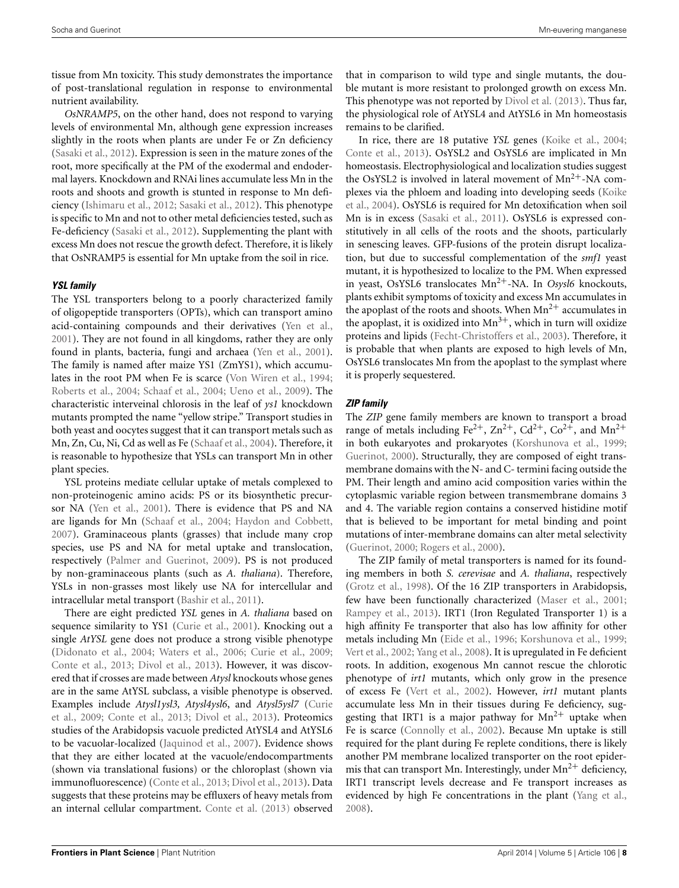tissue from Mn toxicity. This study demonstrates the importance of post-translational regulation in response to environmental nutrient availability.

*OsNRAMP5*, on the other hand, does not respond to varying levels of environmental Mn, although gene expression increases slightly in the roots when plants are under Fe or Zn deficiency [\(Sasaki et al.](#page-15-3), [2012\)](#page-15-3). Expression is seen in the mature zones of the root, more specifically at the PM of the exodermal and endodermal layers. Knockdown and RNAi lines accumulate less Mn in the roots and shoots and growth is stunted in response to Mn deficiency [\(Ishimaru et al., 2012;](#page-13-1) [Sasaki et al.](#page-15-3), [2012\)](#page-15-3). This phenotype is specific to Mn and not to other metal deficiencies tested, such as Fe-deficiency [\(Sasaki et al., 2012\)](#page-15-3). Supplementing the plant with excess Mn does not rescue the growth defect. Therefore, it is likely that OsNRAMP5 is essential for Mn uptake from the soil in rice.

#### *YSL family*

The YSL transporters belong to a poorly characterized family of oligopeptide transporters (OPTs), which can transport amino acid-containing compounds and their derivatives [\(Yen et al.](#page-16-6), [2001](#page-16-6)). They are not found in all kingdoms, rather they are only found in plants, bacteria, fungi and archaea [\(Yen et al., 2001](#page-16-6)). The family is named after maize YS1 (ZmYS1), which accumulates in the root PM when Fe is scarce [\(Von Wiren et al., 1994;](#page-15-27) [Roberts et al., 2004](#page-15-5); [Schaaf et al.](#page-15-6), [2004;](#page-15-6) [Ueno et al.](#page-15-7), [2009](#page-15-7)). The characteristic interveinal chlorosis in the leaf of *ys1* knockdown mutants prompted the name "yellow stripe." Transport studies in both yeast and oocytes suggest that it can transport metals such as Mn, Zn, Cu, Ni, Cd as well as Fe [\(Schaaf et al., 2004](#page-15-6)). Therefore, it is reasonable to hypothesize that YSLs can transport Mn in other plant species.

YSL proteins mediate cellular uptake of metals complexed to non-proteinogenic amino acids: PS or its biosynthetic precursor NA [\(Yen et al.](#page-16-6), [2001\)](#page-16-6). There is evidence that PS and NA are ligands for Mn [\(Schaaf et al., 2004](#page-15-6); [Haydon and Cobbett,](#page-13-21) [2007](#page-13-21)). Graminaceous plants (grasses) that include many crop species, use PS and NA for metal uptake and translocation, respectively [\(Palmer and Guerinot, 2009](#page-14-28)). PS is not produced by non-graminaceous plants (such as *A. thaliana*). Therefore, YSLs in non-grasses most likely use NA for intercellular and intracellular metal transport [\(Bashir et al., 2011\)](#page-12-16).

There are eight predicted *YSL* genes in *A. thaliana* based on sequence similarity to YS1 [\(Curie et al.](#page-13-29), [2001](#page-13-29)). Knocking out a single *AtYSL* gene does not produce a strong visible phenotype [\(Didonato et al., 2004](#page-13-30); [Waters et al.](#page-15-28), [2006;](#page-15-28) [Curie et al.](#page-13-31), [2009;](#page-13-31) [Conte et al.](#page-12-3), [2013](#page-12-3); [Divol et al.](#page-13-2), [2013](#page-13-2)). However, it was discovered that if crosses are made between *Atysl* knockouts whose genes are in the same AtYSL subclass, a visible phenotype is observed. Examples include *[Atysl1ysl3,](#page-13-31) [Atysl4ysl6](#page-13-31)*, and *Atysl5ysl7* (Curie et al., [2009;](#page-13-31) [Conte et al.](#page-12-3), [2013](#page-12-3); [Divol et al.](#page-13-2), [2013](#page-13-2)). Proteomics studies of the Arabidopsis vacuole predicted AtYSL4 and AtYSL6 to be vacuolar-localized [\(Jaquinod et al., 2007](#page-13-32)). Evidence shows that they are either located at the vacuole/endocompartments (shown via translational fusions) or the chloroplast (shown via immunofluorescence) [\(Conte et al., 2013](#page-12-3); [Divol et al., 2013\)](#page-13-2). Data suggests that these proteins may be effluxers of heavy metals from an internal cellular compartment. [Conte et al.](#page-12-3) [\(2013\)](#page-12-3) observed

that in comparison to wild type and single mutants, the double mutant is more resistant to prolonged growth on excess Mn. This phenotype was not reported by [Divol et al.](#page-13-2) [\(2013](#page-13-2)). Thus far, the physiological role of AtYSL4 and AtYSL6 in Mn homeostasis remains to be clarified.

In rice, there are 18 putative *YSL* genes [\(Koike et al.](#page-14-5), [2004](#page-14-5); [Conte et al., 2013\)](#page-12-3). OsYSL2 and OsYSL6 are implicated in Mn homeostasis. Electrophysiological and localization studies suggest the OsYSL2 is involved in lateral movement of  $Mn^{2+}$ -NA complex[es via the phloem and loading into developing seeds \(](#page-14-5)Koike et al., [2004](#page-14-5)). OsYSL6 is required for Mn detoxification when soil Mn is in excess [\(Sasaki et al.](#page-15-4), [2011](#page-15-4)). OsYSL6 is expressed constitutively in all cells of the roots and the shoots, particularly in senescing leaves. GFP-fusions of the protein disrupt localization, but due to successful complementation of the *smf1* yeast mutant, it is hypothesized to localize to the PM. When expressed in yeast, OsYSL6 translocates Mn<sup>2+</sup>-NA. In *Osysl6* knockouts, plants exhibit symptoms of toxicity and excess Mn accumulates in the apoplast of the roots and shoots. When  $Mn^{2+}$  accumulates in the apoplast, it is oxidized into  $Mn^{3+}$ , which in turn will oxidize proteins and lipids [\(Fecht-Christoffers et al., 2003\)](#page-13-14). Therefore, it is probable that when plants are exposed to high levels of Mn, OsYSL6 translocates Mn from the apoplast to the symplast where it is properly sequestered.

## *ZIP family*

The *ZIP* gene family members are known to transport a broad range of metals including Fe<sup>2+</sup>, Zn<sup>2+</sup>, Cd<sup>2+</sup>, Co<sup>2+</sup>, and Mn<sup>2+</sup> in both eukaryotes and prokaryotes [\(Korshunova et al., 1999](#page-14-6); [Guerinot, 2000](#page-13-33)). Structurally, they are composed of eight transmembrane domains with the N- and C- termini facing outside the PM. Their length and amino acid composition varies within the cytoplasmic variable region between transmembrane domains 3 and 4. The variable region contains a conserved histidine motif that is believed to be important for metal binding and point mutations of inter-membrane domains can alter metal selectivity [\(Guerinot](#page-13-33), [2000](#page-13-33); [Rogers et al.](#page-15-23), [2000](#page-15-23)).

The ZIP family of metal transporters is named for its founding members in both *S. cerevisae* and *A. thaliana*, respectively [\(Grotz et al., 1998](#page-13-20)). Of the 16 ZIP transporters in Arabidopsis, few have been functionally characterized [\(Maser et al.](#page-14-29), [2001](#page-14-29); [Rampey et al., 2013\)](#page-15-29). IRT1 (Iron Regulated Transporter 1) is a high affinity Fe transporter that also has low affinity for other metals including Mn [\(Eide et al., 1996](#page-13-3); [Korshunova et al.](#page-14-6), [1999](#page-14-6); [Vert et al., 2002](#page-15-8); [Yang et al.](#page-16-7), [2008\)](#page-16-7). It is upregulated in Fe deficient roots. In addition, exogenous Mn cannot rescue the chlorotic phenotype of *irt1* mutants, which only grow in the presence of excess Fe [\(Vert et al.](#page-15-8), [2002](#page-15-8)). However, *irt1* mutant plants accumulate less Mn in their tissues during Fe deficiency, suggesting that IRT1 is a major pathway for  $Mn^{2+}$  uptake when Fe is scarce [\(Connolly et al., 2002](#page-12-17)). Because Mn uptake is still required for the plant during Fe replete conditions, there is likely another PM membrane localized transporter on the root epidermis that can transport Mn. Interestingly, under  $Mn^{2+}$  deficiency, IRT1 transcript levels decrease and Fe transport increases as evidenced by high Fe concentrations in the plant [\(Yang et al.](#page-16-7), [2008](#page-16-7)).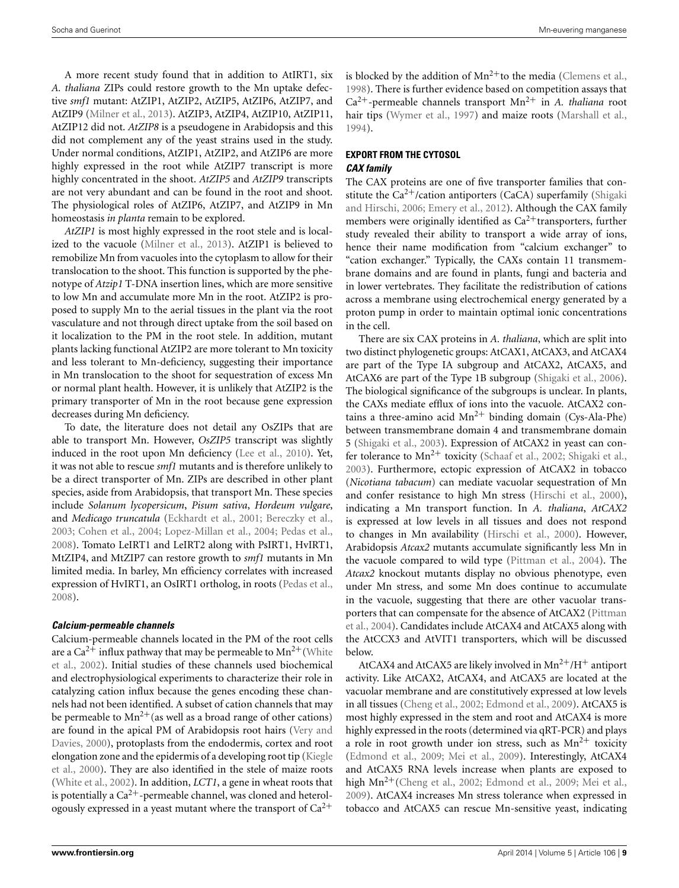A more recent study found that in addition to AtIRT1, six *A. thaliana* ZIPs could restore growth to the Mn uptake defective *smf1* mutant: AtZIP1, AtZIP2, AtZIP5, AtZIP6, AtZIP7, and AtZIP9 [\(Milner et al.](#page-14-7), [2013](#page-14-7)). AtZIP3, AtZIP4, AtZIP10, AtZIP11, AtZIP12 did not. *AtZIP8* is a pseudogene in Arabidopsis and this did not complement any of the yeast strains used in the study. Under normal conditions, AtZIP1, AtZIP2, and AtZIP6 are more highly expressed in the root while AtZIP7 transcript is more highly concentrated in the shoot. *AtZIP5* and *AtZIP9* transcripts are not very abundant and can be found in the root and shoot. The physiological roles of AtZIP6, AtZIP7, and AtZIP9 in Mn homeostasis *in planta* remain to be explored.

*AtZIP1* is most highly expressed in the root stele and is localized to the vacuole [\(Milner et al., 2013\)](#page-14-7). AtZIP1 is believed to remobilize Mn from vacuoles into the cytoplasm to allow for their translocation to the shoot. This function is supported by the phenotype of *Atzip1* T-DNA insertion lines, which are more sensitive to low Mn and accumulate more Mn in the root. AtZIP2 is proposed to supply Mn to the aerial tissues in the plant via the root vasculature and not through direct uptake from the soil based on it localization to the PM in the root stele. In addition, mutant plants lacking functional AtZIP2 are more tolerant to Mn toxicity and less tolerant to Mn-deficiency, suggesting their importance in Mn translocation to the shoot for sequestration of excess Mn or normal plant health. However, it is unlikely that AtZIP2 is the primary transporter of Mn in the root because gene expression decreases during Mn deficiency.

To date, the literature does not detail any OsZIPs that are able to transport Mn. However, *OsZIP5* transcript was slightly induced in the root upon Mn deficiency [\(Lee et al.](#page-14-30), [2010](#page-14-30)). Yet, it was not able to rescue *smf1* mutants and is therefore unlikely to be a direct transporter of Mn. ZIPs are described in other plant species, aside from Arabidopsis, that transport Mn. These species include *Solanum lycopersicum*, *Pisum sativa*, *Hordeum vulgare*, and *Medicago truncatula* [\(Eckhardt et al., 2001;](#page-13-4) [Bereczky et al.,](#page-12-2) [2003](#page-12-2); [Cohen et al., 2004](#page-12-4); [Lopez-Millan et al., 2004](#page-14-8); [Pedas et al.,](#page-15-9) [2008](#page-15-9)). Tomato LeIRT1 and LeIRT2 along with PsIRT1, HvIRT1, MtZIP4, and MtZIP7 can restore growth to *smf1* mutants in Mn limited media. In barley, Mn efficiency correlates with increased expression of HvIRT1, an OsIRT1 ortholog, in roots [\(Pedas et al.,](#page-15-9) [2008](#page-15-9)).

#### *Calcium-permeable channels*

Calcium-permeable channels located in the PM of the root cells are a  $Ca^{2+}$  influx pathway that may be permeable to  $Mn^{2+}$  (White et al., [2002\)](#page-15-30). Initial studies of these channels used biochemical and electrophysiological experiments to characterize their role in catalyzing cation influx because the genes encoding these channels had not been identified. A subset of cation channels that may be permeable to  $Mn^{2+}$  (as well as a broad range of other cations) are fo[und](#page-15-31) [in](#page-15-31) [the](#page-15-31) [apical](#page-15-31) [PM](#page-15-31) [of](#page-15-31) [Arabidopsis](#page-15-31) [root](#page-15-31) [hairs](#page-15-31) [\(](#page-15-31)Very and Davies, [2000\)](#page-15-31), protoplasts from the endodermis, cortex and root elon[gation](#page-14-31) [zone](#page-14-31) [and](#page-14-31) [the](#page-14-31) [epidermis](#page-14-31) [of](#page-14-31) [a](#page-14-31) [developing](#page-14-31) [root](#page-14-31) [tip](#page-14-31) [\(](#page-14-31)Kiegle et al., [2000\)](#page-14-31). They are also identified in the stele of maize roots [\(White et al., 2002\)](#page-15-30). In addition, *LCT1*, a gene in wheat roots that is potentially a  $Ca^{2+}$ -permeable channel, was cloned and heterologously expressed in a yeast mutant where the transport of  $Ca^{2+}$ 

is blocked by the addition of  $Mn^{2+}$  to the media [\(Clemens et al.,](#page-12-18) [1998](#page-12-18)). There is further evidence based on competition assays that  $Ca<sup>2+</sup>$ -permeable channels transport  $Mn<sup>2+</sup>$  in *A. thaliana* root hair tips [\(Wymer et al.](#page-15-32), [1997](#page-15-32)) and maize roots [\(Marshall et al.,](#page-14-32) [1994](#page-14-32)).

# **EXPORT FROM THE CYTOSOL** *CAX family*

The CAX proteins are one of five transporter families that constitute the  $Ca^{2+}/c$ ation antiporters (CaCA) superfamily (Shigaki and Hirschi, [2006;](#page-15-33) [Emery et al.](#page-13-34), [2012](#page-13-34)). Although the CAX family members were originally identified as  $Ca^{2+}$ transporters, further study revealed their ability to transport a wide array of ions, hence their name modification from "calcium exchanger" to "cation exchanger." Typically, the CAXs contain 11 transmembrane domains and are found in plants, fungi and bacteria and in lower vertebrates. They facilitate the redistribution of cations across a membrane using electrochemical energy generated by a proton pump in order to maintain optimal ionic concentrations in the cell.

There are six CAX proteins in *A. thaliana*, which are split into two distinct phylogenetic groups: AtCAX1, AtCAX3, and AtCAX4 are part of the Type IA subgroup and AtCAX2, AtCAX5, and AtCAX6 are part of the Type 1B subgroup [\(Shigaki et al., 2006](#page-15-34)). The biological significance of the subgroups is unclear. In plants, the CAXs mediate efflux of ions into the vacuole. AtCAX2 contains a three-amino acid  $Mn^{2+}$  binding domain (Cys-Ala-Phe) between transmembrane domain 4 and transmembrane domain 5 [\(Shigaki et al.](#page-15-11), [2003\)](#page-15-11). Expression of AtCAX2 in yeast can confer tolerance to  $Mn^{2+}$  toxicity [\(Schaaf et al.](#page-15-10), [2002;](#page-15-10) [Shigaki et al.,](#page-15-11) [2003](#page-15-11)). Furthermore, ectopic expression of AtCAX2 in tobacco (*Nicotiana tabacum*) can mediate vacuolar sequestration of Mn and confer resistance to high Mn stress [\(Hirschi et al., 2000](#page-13-5)), indicating a Mn transport function. In *A. thaliana*, *AtCAX2* is expressed at low levels in all tissues and does not respond to changes in Mn availability [\(Hirschi et al., 2000](#page-13-5)). However, Arabidopsis *Atcax2* mutants accumulate significantly less Mn in the vacuole compared to wild type [\(Pittman et al., 2004\)](#page-15-12). The *Atcax2* knockout mutants display no obvious phenotype, even under Mn stress, and some Mn does continue to accumulate in the vacuole, suggesting that there are other vacuolar transport[ers that can compensate for the absence of AtCAX2 \(](#page-15-12)Pittman et al., [2004](#page-15-12)). Candidates include AtCAX4 and AtCAX5 along with the AtCCX3 and AtVIT1 transporters, which will be discussed below.

AtCAX4 and AtCAX5 are likely involved in  $Mn^{2+}/H^+$  antiport activity. Like AtCAX2, AtCAX4, and AtCAX5 are located at the vacuolar membrane and are constitutively expressed at low levels in all tissues [\(Cheng et al.](#page-12-5), [2002;](#page-12-5) [Edmond et al.](#page-13-6), [2009](#page-13-6)). AtCAX5 is most highly expressed in the stem and root and AtCAX4 is more highly expressed in the roots (determined via qRT-PCR) and plays a role in root growth under ion stress, such as  $Mn^{2+}$  toxicity [\(Edmond et al.](#page-13-6), [2009](#page-13-6); [Mei et al.](#page-14-33), [2009](#page-14-33)). Interestingly, AtCAX4 and AtCAX5 RNA levels increase when plants are exposed to high Mn2+[\(Cheng et al.](#page-12-5), [2002;](#page-12-5) [Edmond et al., 2009](#page-13-6); [Mei et al.,](#page-14-33) [2009](#page-14-33)). AtCAX4 increases Mn stress tolerance when expressed in tobacco and AtCAX5 can rescue Mn-sensitive yeast, indicating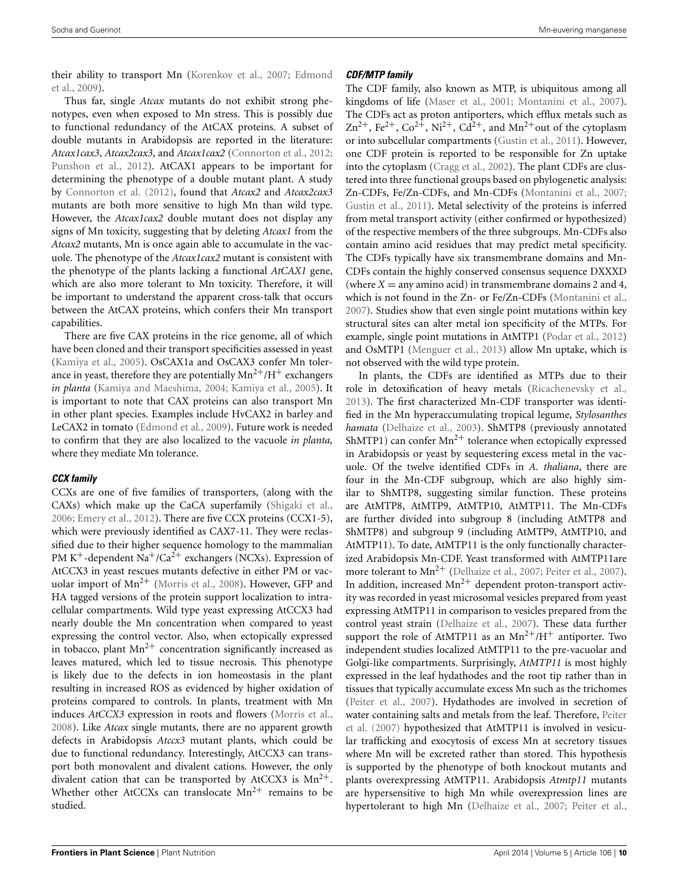thei[r ability to transport Mn](#page-13-6) [\(Korenkov et al.](#page-14-34)[,](#page-13-6) [2007](#page-14-34)[;](#page-13-6) Edmond et al., [2009\)](#page-13-6).

Thus far, single *Atcax* mutants do not exhibit strong phenotypes, even when exposed to Mn stress. This is possibly due to functional redundancy of the AtCAX proteins. A subset of double mutants in Arabidopsis are reported in the literature: *Atcax1cax3*, *Atcax2cax3*, and *Atcax1cax2* [\(Connorton et al., 2012;](#page-12-19) [Punshon et al.](#page-15-35), [2012\)](#page-15-35). AtCAX1 appears to be important for determining the phenotype of a double mutant plant. A study by [Connorton et al.](#page-12-19) [\(2012\)](#page-12-19), found that *Atcax2* and *Atcax2cax3* mutants are both more sensitive to high Mn than wild type. However, the *Atcax1cax2* double mutant does not display any signs of Mn toxicity, suggesting that by deleting *Atcax1* from the *Atcax2* mutants, Mn is once again able to accumulate in the vacuole. The phenotype of the *Atcax1cax2* mutant is consistent with the phenotype of the plants lacking a functional *AtCAX1* gene, which are also more tolerant to Mn toxicity. Therefore, it will be important to understand the apparent cross-talk that occurs between the AtCAX proteins, which confers their Mn transport capabilities.

There are five CAX proteins in the rice genome, all of which have been cloned and their transport specificities assessed in yeast [\(Kamiya et al., 2005](#page-14-10)). OsCAX1a and OsCAX3 confer Mn tolerance in yeast, therefore they are potentially  $Mn^{2+}/H^+$  exchangers *in planta* [\(Kamiya and Maeshima](#page-14-9), [2004;](#page-14-9) [Kamiya et al., 2005](#page-14-10)). It is important to note that CAX proteins can also transport Mn in other plant species. Examples include HvCAX2 in barley and LeCAX2 in tomato [\(Edmond et al.](#page-13-6), [2009](#page-13-6)). Future work is needed to confirm that they are also localized to the vacuole *in planta,* where they mediate Mn tolerance.

## *CCX family*

CCXs are one of five families of transporters, (along with the CAXs) which make up the CaCA superfamily [\(Shigaki et al.](#page-15-34), [2006](#page-15-34); [Emery et al., 2012\)](#page-13-34). There are five CCX proteins (CCX1-5), which were previously identified as CAX7-11. They were reclassified due to their higher sequence homology to the mammalian PM K<sup>+</sup>-dependent Na<sup>+</sup>/Ca<sup>2+</sup> exchangers (NCXs). Expression of AtCCX3 in yeast rescues mutants defective in either PM or vacuolar import of  $Mn^{2+}$  [\(Morris et al., 2008](#page-14-11)). However, GFP and HA tagged versions of the protein support localization to intracellular compartments. Wild type yeast expressing AtCCX3 had nearly double the Mn concentration when compared to yeast expressing the control vector. Also, when ectopically expressed in tobacco, plant  $Mn^{2+}$  concentration significantly increased as leaves matured, which led to tissue necrosis. This phenotype is likely due to the defects in ion homeostasis in the plant resulting in increased ROS as evidenced by higher oxidation of proteins compared to controls. In plants, treatment with Mn induces *AtCCX3* expression in roots and flowers [\(Morris et al.](#page-14-11), [2008](#page-14-11)). Like *Atcax* single mutants, there are no apparent growth defects in Arabidopsis *Atccx3* mutant plants, which could be due to functional redundancy. Interestingly, AtCCX3 can transport both monovalent and divalent cations. However, the only divalent cation that can be transported by AtCCX3 is  $Mn^{2+}$ . Whether other AtCCXs can translocate  $Mn^{2+}$  remains to be studied.

#### *CDF/MTP family*

The CDF family, also known as MTP, is ubiquitous among all kingdoms of life [\(Maser et al.](#page-14-29), [2001](#page-14-29); [Montanini et al.](#page-14-35), [2007\)](#page-14-35). The CDFs act as proton antiporters, which efflux metals such as  $\text{Zn}^{2+}$ , Fe<sup>2+</sup>, Co<sup>2+</sup>, Ni<sup>2+</sup>, Cd<sup>2+</sup>, and Mn<sup>2+</sup>out of the cytoplasm or into subcellular compartments [\(Gustin et al., 2011\)](#page-13-35). However, one CDF protein is reported to be responsible for Zn uptake into the cytoplasm [\(Cragg et al.](#page-12-20), [2002](#page-12-20)). The plant CDFs are clustered into three functional groups based on phylogenetic analysis: Zn-CDFs, Fe/Zn-CDFs, and Mn-CDFs [\(Montanini et al., 2007](#page-14-35); [Gustin et al.](#page-13-35), [2011\)](#page-13-35). Metal selectivity of the proteins is inferred from metal transport activity (either confirmed or hypothesized) of the respective members of the three subgroups. Mn-CDFs also contain amino acid residues that may predict metal specificity. The CDFs typically have six transmembrane domains and Mn-CDFs contain the highly conserved consensus sequence DXXXD (where  $X =$  any amino acid) in transmembrane domains 2 and 4, which is not found in the Zn- or Fe/Zn-CDFs [\(Montanini et al.](#page-14-35), [2007](#page-14-35)). Studies show that even single point mutations within key structural sites can alter metal ion specificity of the MTPs. For example, single point mutations in AtMTP1 [\(Podar et al., 2012](#page-15-36)) and OsMTP1 [\(Menguer et al.](#page-14-36), [2013\)](#page-14-36) allow Mn uptake, which is not observed with the wild type protein.

In plants, the CDFs are identified as MTPs due to their role in detoxification of heavy metals [\(Ricachenevsky et al.](#page-15-37), [2013](#page-15-37)). The first characterized Mn-CDF transporter was identified in the Mn hyperaccumulating tropical legume, *Stylosanthes hamata* [\(Delhaize et al.](#page-13-8), [2003](#page-13-8)). ShMTP8 (previously annotated ShMTP1) can confer  $Mn^{2+}$  tolerance when ectopically expressed in Arabidopsis or yeast by sequestering excess metal in the vacuole. Of the twelve identified CDFs in *A. thaliana*, there are four in the Mn-CDF subgroup, which are also highly similar to ShMTP8, suggesting similar function. These proteins are AtMTP8, AtMTP9, AtMTP10, AtMTP11. The Mn-CDFs are further divided into subgroup 8 (including AtMTP8 and ShMTP8) and subgroup 9 (including AtMTP9, AtMTP10, and AtMTP11). To date, AtMTP11 is the only functionally characterized Arabidopsis Mn-CDF. Yeast transformed with AtMTP11are more tolerant to  $Mn^{2+}$  [\(Delhaize et al., 2007;](#page-13-7) [Peiter et al., 2007\)](#page-15-13). In addition, increased  $Mn^{2+}$  dependent proton-transport activity was recorded in yeast microsomal vesicles prepared from yeast expressing AtMTP11 in comparison to vesicles prepared from the control yeast strain [\(Delhaize et al., 2007\)](#page-13-7). These data further support the role of AtMTP11 as an  $Mn^{2+}/H^+$  antiporter. Two independent studies localized AtMTP11 to the pre-vacuolar and Golgi-like compartments. Surprisingly, *AtMTP11* is most highly expressed in the leaf hydathodes and the root tip rather than in tissues that typically accumulate excess Mn such as the trichomes [\(Peiter et al.](#page-15-13), [2007](#page-15-13)). Hydathodes are involved in secretion of wate[r containing salts and metals from the leaf. Therefore,](#page-15-13) Peiter et al. [\(2007](#page-15-13)) hypothesized that AtMTP11 is involved in vesicular trafficking and exocytosis of excess Mn at secretory tissues where Mn will be excreted rather than stored. This hypothesis is supported by the phenotype of both knockout mutants and plants overexpressing AtMTP11. Arabidopsis *Atmtp11* mutants are hypersensitive to high Mn while overexpression lines are hypertolerant to high Mn [\(Delhaize et al., 2007](#page-13-7); [Peiter et al.](#page-15-13),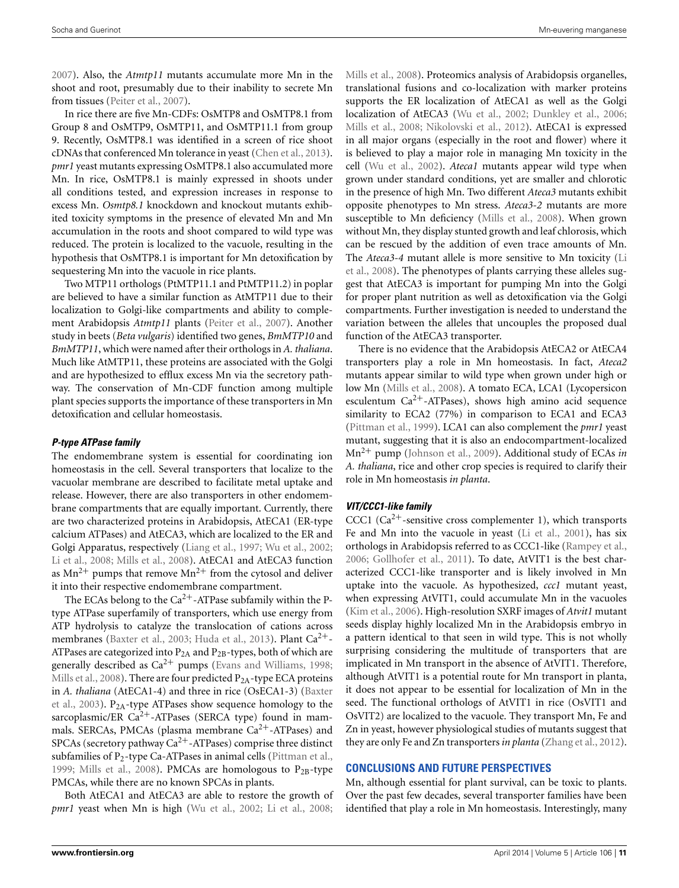[2007](#page-15-13)). Also, the *Atmtp11* mutants accumulate more Mn in the shoot and root, presumably due to their inability to secrete Mn from tissues [\(Peiter et al., 2007](#page-15-13)).

In rice there are five Mn-CDFs: OsMTP8 and OsMTP8.1 from Group 8 and OsMTP9, OsMTP11, and OsMTP11.1 from group 9. Recently, OsMTP8.1 was identified in a screen of rice shoot cDNAs that conferenced Mn tolerance in yeast [\(Chen et al., 2013](#page-12-6)). *pmr1* yeast mutants expressing OsMTP8.1 also accumulated more Mn. In rice, OsMTP8.1 is mainly expressed in shoots under all conditions tested, and expression increases in response to excess Mn. *Osmtp8.1* knockdown and knockout mutants exhibited toxicity symptoms in the presence of elevated Mn and Mn accumulation in the roots and shoot compared to wild type was reduced. The protein is localized to the vacuole, resulting in the hypothesis that OsMTP8.1 is important for Mn detoxification by sequestering Mn into the vacuole in rice plants.

Two MTP11 orthologs (PtMTP11.1 and PtMTP11.2) in poplar are believed to have a similar function as AtMTP11 due to their localization to Golgi-like compartments and ability to complement Arabidopsis *Atmtp11* plants [\(Peiter et al.](#page-15-13), [2007](#page-15-13)). Another study in beets (*Beta vulgaris*) identified two genes, *BmMTP10* and *BmMTP11*, which were named after their orthologs in *A. thaliana*. Much like AtMTP11, these proteins are associated with the Golgi and are hypothesized to efflux excess Mn via the secretory pathway. The conservation of Mn-CDF function among multiple plant species supports the importance of these transporters in Mn detoxification and cellular homeostasis.

#### *P-type ATPase family*

The endomembrane system is essential for coordinating ion homeostasis in the cell. Several transporters that localize to the vacuolar membrane are described to facilitate metal uptake and release. However, there are also transporters in other endomembrane compartments that are equally important. Currently, there are two characterized proteins in Arabidopsis, AtECA1 (ER-type calcium ATPases) and AtECA3, which are localized to the ER and Golgi Apparatus, respectively [\(Liang et al., 1997;](#page-14-37) [Wu et al., 2002;](#page-15-14) [Li et al.](#page-14-38), [2008](#page-14-38); [Mills et al., 2008\)](#page-14-12). AtECA1 and AtECA3 function as  $Mn^{2+}$  pumps that remove  $Mn^{2+}$  from the cytosol and deliver it into their respective endomembrane compartment.

The ECAs belong to the  $Ca^{2+}-ATP$ ase subfamily within the Ptype ATPase superfamily of transporters, which use energy from ATP hydrolysis to catalyze the translocation of cations across membranes [\(Baxter et al.](#page-12-21), [2003;](#page-12-21) [Huda et al., 2013\)](#page-13-36). Plant  $Ca^{2+}$ -ATPases are categorized into P2A and P2B-types, both of which are generally described as  $Ca^{2+}$  pumps [\(Evans and Williams, 1998;](#page-13-37) [Mills et al.](#page-14-12), [2008\)](#page-14-12). There are four predicted  $P_{2A}$ -type ECA proteins in *A. thaliana* [\(AtECA1-4\) and three in rice \(OsECA1-3\) \(](#page-12-21)Baxter et al., [2003\)](#page-12-21). P2A-type ATPases show sequence homology to the sarcoplasmic/ER  $Ca^{2+}-ATP$ ases (SERCA type) found in mammals. SERCAs, PMCAs (plasma membrane  $Ca^{2+}-ATP$ ases) and SPCAs (secretory pathway  $Ca^{2+}-ATP$ ases) comprise three distinct subfamilies of  $P_2$ -type Ca-ATPases in animal cells [\(Pittman et al.,](#page-15-38) [1999](#page-15-38); [Mills et al.](#page-14-12), [2008\)](#page-14-12). PMCAs are homologous to  $P_{2B}$ -type PMCAs, while there are no known SPCAs in plants.

Both AtECA1 and AtECA3 are able to restore the growth of *pmr1* yeast when Mn is high [\(Wu et al., 2002](#page-15-14); [Li et al.](#page-14-38), [2008;](#page-14-38)

[Mills et al., 2008](#page-14-12)). Proteomics analysis of Arabidopsis organelles, translational fusions and co-localization with marker proteins supports the ER localization of AtECA1 as well as the Golgi localization of AtECA3 [\(Wu et al.](#page-15-14), [2002](#page-15-14); [Dunkley et al.](#page-13-38), [2006;](#page-13-38) [Mills et al., 2008](#page-14-12); [Nikolovski et al., 2012\)](#page-14-39). AtECA1 is expressed in all major organs (especially in the root and flower) where it is believed to play a major role in managing Mn toxicity in the cell [\(Wu et al.](#page-15-14), [2002\)](#page-15-14). *Ateca1* mutants appear wild type when grown under standard conditions, yet are smaller and chlorotic in the presence of high Mn. Two different *Ateca3* mutants exhibit opposite phenotypes to Mn stress. *Ateca3-2* mutants are more susceptible to Mn deficiency [\(Mills et al., 2008](#page-14-12)). When grown without Mn, they display stunted growth and leaf chlorosis, which can be rescued by the addition of even trace amounts of Mn. The *Ateca3-4* [mutant](#page-14-38) [allele](#page-14-38) [is](#page-14-38) [more](#page-14-38) [sensitive](#page-14-38) [to](#page-14-38) [Mn](#page-14-38) [toxicity](#page-14-38) [\(](#page-14-38)Li et al., [2008](#page-14-38)). The phenotypes of plants carrying these alleles suggest that AtECA3 is important for pumping Mn into the Golgi for proper plant nutrition as well as detoxification via the Golgi compartments. Further investigation is needed to understand the variation between the alleles that uncouples the proposed dual function of the AtECA3 transporter.

There is no evidence that the Arabidopsis AtECA2 or AtECA4 transporters play a role in Mn homeostasis. In fact, *Ateca2* mutants appear similar to wild type when grown under high or low Mn [\(Mills et al.](#page-14-12), [2008](#page-14-12)). A tomato ECA, LCA1 (Lycopersicon esculentum  $Ca^{2+}-ATPases$ ), shows high amino acid sequence similarity to ECA2 (77%) in comparison to ECA1 and ECA3 [\(Pittman et al., 1999\)](#page-15-38). LCA1 can also complement the *pmr1* yeast mutant, suggesting that it is also an endocompartment-localized Mn2<sup>+</sup> pump [\(Johnson et al., 2009\)](#page-14-13). Additional study of ECAs *in A. thaliana*, rice and other crop species is required to clarify their role in Mn homeostasis *in planta*.

## *VIT/CCC1-like family*

CCC1 ( $Ca^{2+}$ -sensitive cross complementer 1), which transports Fe and Mn into the vacuole in yeast [\(Li et al., 2001](#page-14-40)), has six orthologs in Arabidopsis referred to as CCC1-like [\(Rampey et al.,](#page-15-39) [2006](#page-15-39); [Gollhofer et al.](#page-13-39), [2011](#page-13-39)). To date, AtVIT1 is the best characterized CCC1-like transporter and is likely involved in Mn uptake into the vacuole. As hypothesized, *ccc1* mutant yeast, when expressing AtVIT1, could accumulate Mn in the vacuoles [\(Kim et al., 2006](#page-14-14)). High-resolution SXRF images of *Atvit1* mutant seeds display highly localized Mn in the Arabidopsis embryo in a pattern identical to that seen in wild type. This is not wholly surprising considering the multitude of transporters that are implicated in Mn transport in the absence of AtVIT1. Therefore, although AtVIT1 is a potential route for Mn transport in planta, it does not appear to be essential for localization of Mn in the seed. The functional orthologs of AtVIT1 in rice (OsVIT1 and OsVIT2) are localized to the vacuole. They transport Mn, Fe and Zn in yeast, however physiological studies of mutants suggest that they are only Fe and Zn transporters *in planta* [\(Zhang et al., 2012](#page-16-1)).

#### **CONCLUSIONS AND FUTURE PERSPECTIVES**

Mn, although essential for plant survival, can be toxic to plants. Over the past few decades, several transporter families have been identified that play a role in Mn homeostasis. Interestingly, many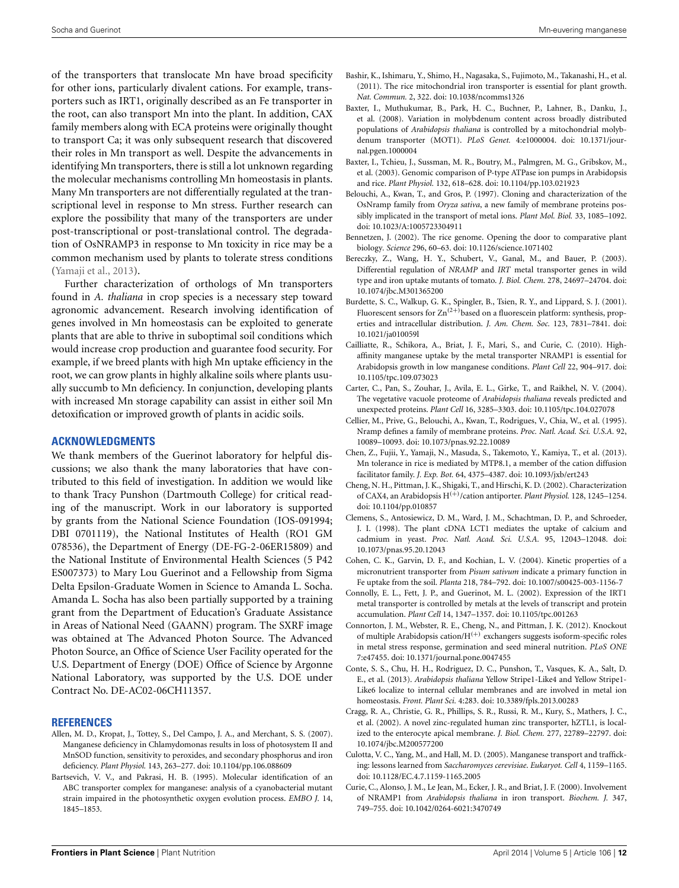of the transporters that translocate Mn have broad specificity for other ions, particularly divalent cations. For example, transporters such as IRT1, originally described as an Fe transporter in the root, can also transport Mn into the plant. In addition, CAX family members along with ECA proteins were originally thought to transport Ca; it was only subsequent research that discovered their roles in Mn transport as well. Despite the advancements in identifying Mn transporters, there is still a lot unknown regarding the molecular mechanisms controlling Mn homeostasis in plants. Many Mn transporters are not differentially regulated at the transcriptional level in response to Mn stress. Further research can explore the possibility that many of the transporters are under post-transcriptional or post-translational control. The degradation of OsNRAMP3 in response to Mn toxicity in rice may be a common mechanism used by plants to tolerate stress conditions [\(Yamaji et al.](#page-16-0), [2013](#page-16-0)).

Further characterization of orthologs of Mn transporters found in *A. thaliana* in crop species is a necessary step toward agronomic advancement. Research involving identification of genes involved in Mn homeostasis can be exploited to generate plants that are able to thrive in suboptimal soil conditions which would increase crop production and guarantee food security. For example, if we breed plants with high Mn uptake efficiency in the root, we can grow plants in highly alkaline soils where plants usually succumb to Mn deficiency. In conjunction, developing plants with increased Mn storage capability can assist in either soil Mn detoxification or improved growth of plants in acidic soils.

#### **ACKNOWLEDGMENTS**

We thank members of the Guerinot laboratory for helpful discussions; we also thank the many laboratories that have contributed to this field of investigation. In addition we would like to thank Tracy Punshon (Dartmouth College) for critical reading of the manuscript. Work in our laboratory is supported by grants from the National Science Foundation (IOS-091994; DBI 0701119), the National Institutes of Health (RO1 GM 078536), the Department of Energy (DE-FG-2-06ER15809) and the National Institute of Environmental Health Sciences (5 P42 ES007373) to Mary Lou Guerinot and a Fellowship from Sigma Delta Epsilon-Graduate Women in Science to Amanda L. Socha. Amanda L. Socha has also been partially supported by a training grant from the Department of Education's Graduate Assistance in Areas of National Need (GAANN) program. The SXRF image was obtained at The Advanced Photon Source. The Advanced Photon Source, an Office of Science User Facility operated for the U.S. Department of Energy (DOE) Office of Science by Argonne National Laboratory, was supported by the U.S. DOE under Contract No. DE-AC02-06CH11357.

#### **REFERENCES**

- <span id="page-12-7"></span>Allen, M. D., Kropat, J., Tottey, S., Del Campo, J. A., and Merchant, S. S. (2007). Manganese deficiency in Chlamydomonas results in loss of photosystem II and MnSOD function, sensitivity to peroxides, and secondary phosphorus and iron deficiency. *Plant Physiol.* 143, 263–277. doi: 10.1104/pp.106.088609
- <span id="page-12-11"></span>Bartsevich, V. V., and Pakrasi, H. B. (1995). Molecular identification of an ABC transporter complex for manganese: analysis of a cyanobacterial mutant strain impaired in the photosynthetic oxygen evolution process. *EMBO J.* 14, 1845–1853.
- <span id="page-12-16"></span>Bashir, K., Ishimaru, Y., Shimo, H., Nagasaka, S., Fujimoto, M., Takanashi, H., et al. (2011). The rice mitochondrial iron transporter is essential for plant growth. *Nat. Commun.* 2, 322. doi: 10.1038/ncomms1326
- <span id="page-12-8"></span>Baxter, I., Muthukumar, B., Park, H. C., Buchner, P., Lahner, B., Danku, J., et al. (2008). Variation in molybdenum content across broadly distributed populations of *Arabidopsis thaliana* is controlled by a mitochondrial molybdenum transporter (MOT1). *PLoS Genet.* 4:e1000004. doi: 10.1371/journal.pgen.1000004
- <span id="page-12-21"></span>Baxter, I., Tchieu, J., Sussman, M. R., Boutry, M., Palmgren, M. G., Gribskov, M., et al. (2003). Genomic comparison of P-type ATPase ion pumps in Arabidopsis and rice. *Plant Physiol.* 132, 618–628. doi: 10.1104/pp.103.021923
- <span id="page-12-13"></span>Belouchi, A., Kwan, T., and Gros, P. (1997). Cloning and characterization of the OsNramp family from *Oryza sativa*, a new family of membrane proteins possibly implicated in the transport of metal ions. *Plant Mol. Biol.* 33, 1085–1092. doi: 10.1023/A:1005723304911
- <span id="page-12-14"></span>Bennetzen, J. (2002). The rice genome. Opening the door to comparative plant biology*. Science* 296, 60–63. doi: 10.1126/science.1071402
- <span id="page-12-2"></span>Bereczky, Z., Wang, H. Y., Schubert, V., Ganal, M., and Bauer, P. (2003). Differential regulation of *NRAMP* and *IRT* metal transporter genes in wild type and iron uptake mutants of tomato. *J. Biol. Chem.* 278, 24697–24704. doi: 10.1074/jbc.M301365200
- <span id="page-12-9"></span>Burdette, S. C., Walkup, G. K., Spingler, B., Tsien, R. Y., and Lippard, S. J. (2001). Fluorescent sensors for Zn*(*2+*)* based on a fluorescein platform: synthesis, properties and intracellular distribution. *J. Am. Chem. Soc.* 123, 7831–7841. doi: 10.1021/ja010059l
- <span id="page-12-1"></span>Cailliatte, R., Schikora, A., Briat, J. F., Mari, S., and Curie, C. (2010). Highaffinity manganese uptake by the metal transporter NRAMP1 is essential for Arabidopsis growth in low manganese conditions. *Plant Cell* 22, 904–917. doi: 10.1105/tpc.109.073023
- <span id="page-12-15"></span>Carter, C., Pan, S., Zouhar, J., Avila, E. L., Girke, T., and Raikhel, N. V. (2004). The vegetative vacuole proteome of *Arabidopsis thaliana* reveals predicted and unexpected proteins. *Plant Cell* 16, 3285–3303. doi: 10.1105/tpc.104.027078
- <span id="page-12-12"></span>Cellier, M., Prive, G., Belouchi, A., Kwan, T., Rodrigues, V., Chia, W., et al. (1995). Nramp defines a family of membrane proteins. *Proc. Natl. Acad. Sci. U.S.A.* 92, 10089–10093. doi: 10.1073/pnas.92.22.10089
- <span id="page-12-6"></span>Chen, Z., Fujii, Y., Yamaji, N., Masuda, S., Takemoto, Y., Kamiya, T., et al. (2013). Mn tolerance in rice is mediated by MTP8.1, a member of the cation diffusion facilitator family. *J. Exp. Bot.* 64, 4375–4387. doi: 10.1093/jxb/ert243
- <span id="page-12-5"></span>Cheng, N. H., Pittman, J. K., Shigaki, T., and Hirschi, K. D. (2002). Characterization of CAX4, an Arabidopsis H*(*+*)* /cation antiporter. *Plant Physiol.* 128, 1245–1254. doi: 10.1104/pp.010857
- <span id="page-12-18"></span>Clemens, S., Antosiewicz, D. M., Ward, J. M., Schachtman, D. P., and Schroeder, J. I. (1998). The plant cDNA LCT1 mediates the uptake of calcium and cadmium in yeast. *Proc. Natl. Acad. Sci. U.S.A.* 95, 12043–12048. doi: 10.1073/pnas.95.20.12043
- <span id="page-12-4"></span>Cohen, C. K., Garvin, D. F., and Kochian, L. V. (2004). Kinetic properties of a micronutrient transporter from *Pisum sativum* indicate a primary function in Fe uptake from the soil. *Planta* 218, 784–792. doi: 10.1007/s00425-003-1156-7
- <span id="page-12-17"></span>Connolly, E. L., Fett, J. P., and Guerinot, M. L. (2002). Expression of the IRT1 metal transporter is controlled by metals at the levels of transcript and protein accumulation. *Plant Cell* 14, 1347–1357. doi: 10.1105/tpc.001263
- <span id="page-12-19"></span>Connorton, J. M., Webster, R. E., Cheng, N., and Pittman, J. K. (2012). Knockout of multiple Arabidopsis cation/H*(*+*)* exchangers suggests isoform-specific roles in metal stress response, germination and seed mineral nutrition. *PLoS ONE* 7:e47455. doi: 10.1371/journal.pone.0047455
- <span id="page-12-3"></span>Conte, S. S., Chu, H. H., Rodriguez, D. C., Punshon, T., Vasques, K. A., Salt, D. E., et al. (2013). *Arabidopsis thaliana* Yellow Stripe1-Like4 and Yellow Stripe1- Like6 localize to internal cellular membranes and are involved in metal ion homeostasis. *Front. Plant Sci.* 4:283. doi: 10.3389/fpls.2013.00283
- <span id="page-12-20"></span>Cragg, R. A., Christie, G. R., Phillips, S. R., Russi, R. M., Kury, S., Mathers, J. C., et al. (2002). A novel zinc-regulated human zinc transporter, hZTL1, is localized to the enterocyte apical membrane. *J. Biol. Chem.* 277, 22789–22797. doi: 10.1074/jbc.M200577200
- <span id="page-12-10"></span>Culotta, V. C., Yang, M., and Hall, M. D. (2005). Manganese transport and trafficking: lessons learned from *Saccharomyces cerevisiae*. *Eukaryot. Cell* 4, 1159–1165. doi: 10.1128/EC.4.7.1159-1165.2005
- <span id="page-12-0"></span>Curie, C., Alonso, J. M., Le Jean, M., Ecker, J. R., and Briat, J. F. (2000). Involvement of NRAMP1 from *Arabidopsis thaliana* in iron transport. *Biochem. J.* 347, 749–755. doi: 10.1042/0264-6021:3470749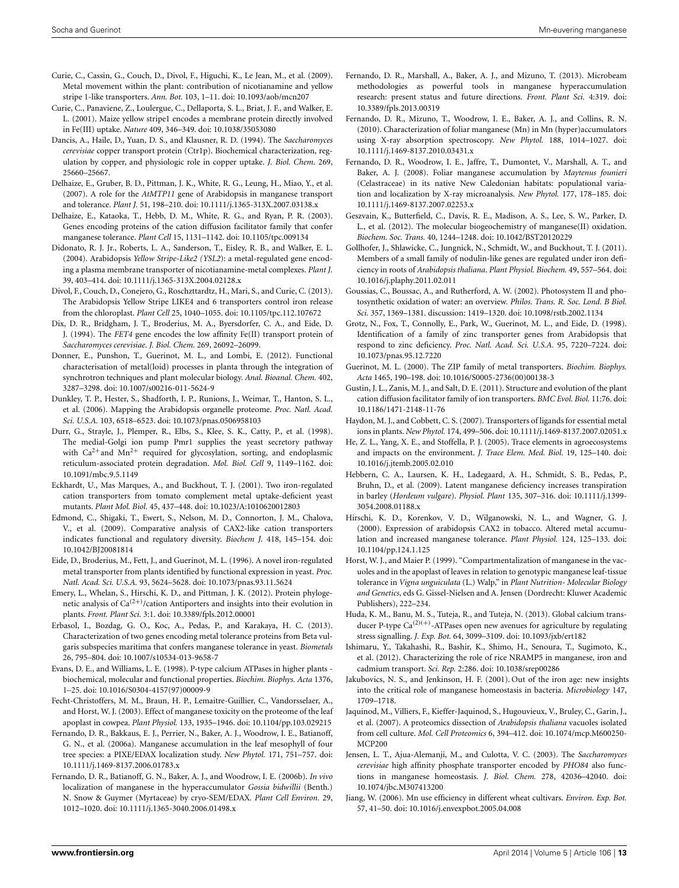- <span id="page-13-31"></span>Curie, C., Cassin, G., Couch, D., Divol, F., Higuchi, K., Le Jean, M., et al. (2009). Metal movement within the plant: contribution of nicotianamine and yellow stripe 1-like transporters. *Ann. Bot.* 103, 1–11. doi: 10.1093/aob/mcn207
- <span id="page-13-29"></span>Curie, C., Panaviene, Z., Loulergue, C., Dellaporta, S. L., Briat, J. F., and Walker, E. L. (2001). Maize yellow stripe1 encodes a membrane protein directly involved in Fe(III) uptake. *Nature* 409, 346–349. doi: 10.1038/35053080
- <span id="page-13-17"></span>Dancis, A., Haile, D., Yuan, D. S., and Klausner, R. D. (1994). The *Saccharomyces cerevisiae* copper transport protein (Ctr1p). Biochemical characterization, regulation by copper, and physiologic role in copper uptake. *J. Biol. Chem*. 269, 25660–25667.
- <span id="page-13-7"></span>Delhaize, E., Gruber, B. D., Pittman, J. K., White, R. G., Leung, H., Miao, Y., et al. (2007). A role for the *AtMTP11* gene of Arabidopsis in manganese transport and tolerance. *Plant J.* 51, 198–210. doi: 10.1111/j.1365-313X.2007.03138.x
- <span id="page-13-8"></span>Delhaize, E., Kataoka, T., Hebb, D. M., White, R. G., and Ryan, P. R. (2003). Genes encoding proteins of the cation diffusion facilitator family that confer manganese tolerance. *Plant Cell* 15, 1131–1142. doi: 10.1105/tpc.009134
- <span id="page-13-30"></span>Didonato, R. J. Jr., Roberts, L. A., Sanderson, T., Eisley, R. B., and Walker, E. L. (2004). Arabidopsis *Yellow Stripe-Like2 (YSL2*): a metal-regulated gene encoding a plasma membrane transporter of nicotianamine-metal complexes. *Plant J.* 39, 403–414. doi: 10.1111/j.1365-313X.2004.02128.x
- <span id="page-13-2"></span>Divol, F., Couch, D., Conejero, G., Roschzttardtz, H., Mari, S., and Curie, C. (2013). The Arabidopsis Yellow Stripe LIKE4 and 6 transporters control iron release from the chloroplast. *Plant Cell* 25, 1040–1055. doi: 10.1105/tpc.112.107672
- <span id="page-13-18"></span>Dix, D. R., Bridgham, J. T., Broderius, M. A., Byersdorfer, C. A., and Eide, D. J. (1994). The *FET4* gene encodes the low affinity Fe(II) transport protein of *Saccharomyces cerevisiae*. *J. Biol. Chem.* 269, 26092–26099.
- <span id="page-13-22"></span>Donner, E., Punshon, T., Guerinot, M. L., and Lombi, E. (2012). Functional characterisation of metal(loid) processes in planta through the integration of synchrotron techniques and plant molecular biology. *Anal. Bioanal. Chem.* 402, 3287–3298. doi: 10.1007/s00216-011-5624-9
- <span id="page-13-38"></span>Dunkley, T. P., Hester, S., Shadforth, I. P., Runions, J., Weimar, T., Hanton, S. L., et al. (2006). Mapping the Arabidopsis organelle proteome. *Proc. Natl. Acad. Sci. U.S.A.* 103, 6518–6523. doi: 10.1073/pnas.0506958103
- <span id="page-13-19"></span>Durr, G., Strayle, J., Plemper, R., Elbs, S., Klee, S. K., Catty, P., et al. (1998). The medial-Golgi ion pump Pmr1 supplies the yeast secretory pathway with  $Ca^{2+}$  and  $Mn^{2+}$  required for glycosylation, sorting, and endoplasmic reticulum-associated protein degradation. *Mol. Biol. Cell* 9, 1149–1162. doi: 10.1091/mbc.9.5.1149
- <span id="page-13-4"></span>Eckhardt, U., Mas Marques, A., and Buckhout, T. J. (2001). Two iron-regulated cation transporters from tomato complement metal uptake-deficient yeast mutants. *Plant Mol. Biol.* 45, 437–448. doi: 10.1023/A:1010620012803
- <span id="page-13-6"></span>Edmond, C., Shigaki, T., Ewert, S., Nelson, M. D., Connorton, J. M., Chalova, V., et al. (2009). Comparative analysis of CAX2-like cation transporters indicates functional and regulatory diversity. *Biochem J.* 418, 145–154. doi: 10.1042/BJ20081814
- <span id="page-13-3"></span>Eide, D., Broderius, M., Fett, J., and Guerinot, M. L. (1996). A novel iron-regulated metal transporter from plants identified by functional expression in yeast. *Proc. Natl. Acad. Sci. U.S.A.* 93, 5624–5628. doi: 10.1073/pnas.93.11.5624
- <span id="page-13-34"></span>Emery, L., Whelan, S., Hirschi, K. D., and Pittman, J. K. (2012). Protein phylogenetic analysis of Ca*(*2+*)* /cation Antiporters and insights into their evolution in plants. *Front. Plant Sci.* 3:1. doi: 10.3389/fpls.2012.00001
- <span id="page-13-9"></span>Erbasol, I., Bozdag, G. O., Koc, A., Pedas, P., and Karakaya, H. C. (2013). Characterization of two genes encoding metal tolerance proteins from Beta vulgaris subspecies maritima that confers manganese tolerance in yeast. *Biometals* 26, 795–804. doi: 10.1007/s10534-013-9658-7
- <span id="page-13-37"></span>Evans, D. E., and Williams, L. E. (1998). P-type calcium ATPases in higher plants biochemical, molecular and functional properties. *Biochim. Biophys. Acta* 1376, 1–25. doi: 10.1016/S0304-4157(97)00009-9
- <span id="page-13-14"></span>Fecht-Christoffers, M. M., Braun, H. P., Lemaitre-Guillier, C., Vandorsselaer, A., and Horst, W. J. (2003). Effect of manganese toxicity on the proteome of the leaf apoplast in cowpea. *Plant Physiol.* 133, 1935–1946. doi: 10.1104/pp.103.029215
- <span id="page-13-25"></span>Fernando, D. R., Bakkaus, E. J., Perrier, N., Baker, A. J., Woodrow, I. E., Batianoff, G. N., et al. (2006a). Manganese accumulation in the leaf mesophyll of four tree species: a PIXE/EDAX localization study. *New Phytol.* 171, 751–757. doi: 10.1111/j.1469-8137.2006.01783.x
- <span id="page-13-23"></span>Fernando, D. R., Batianoff, G. N., Baker, A. J., and Woodrow, I. E. (2006b). *In vivo* localization of manganese in the hyperaccumulator *Gossia bidwillii* (Benth.) N. Snow & Guymer (Myrtaceae) by cryo-SEM/EDAX*. Plant Cell Environ.* 29, 1012–1020. doi: 10.1111/j.1365-3040.2006.01498.x
- <span id="page-13-24"></span>Fernando, D. R., Marshall, A., Baker, A. J., and Mizuno, T. (2013). Microbeam methodologies as powerful tools in manganese hyperaccumulation research: present status and future directions. *Front. Plant Sci.* 4:319. doi: 10.3389/fpls.2013.00319
- <span id="page-13-16"></span>Fernando, D. R., Mizuno, T., Woodrow, I. E., Baker, A. J., and Collins, R. N. (2010). Characterization of foliar manganese (Mn) in Mn (hyper)accumulators using X-ray absorption spectroscopy. *New Phytol.* 188, 1014–1027. doi: 10.1111/j.1469-8137.2010.03431.x
- <span id="page-13-26"></span>Fernando, D. R., Woodrow, I. E., Jaffre, T., Dumontet, V., Marshall, A. T., and Baker, A. J. (2008). Foliar manganese accumulation by *Maytenus founieri* (Celastraceae) in its native New Caledonian habitats: populational variation and localization by X-ray microanalysis. *New Phytol.* 177, 178–185. doi: 10.1111/j.1469-8137.2007.02253.x
- <span id="page-13-11"></span>Geszvain, K., Butterfield, C., Davis, R. E., Madison, A. S., Lee, S. W., Parker, D. L., et al. (2012). The molecular biogeochemistry of manganese(II) oxidation. *Biochem. Soc. Trans.* 40, 1244–1248. doi: 10.1042/BST20120229
- <span id="page-13-39"></span>Gollhofer, J., Shlawicke, C., Jungnick, N., Schmidt, W., and Buckhout, T. J. (2011). Members of a small family of nodulin-like genes are regulated under iron deficiency in roots of *Arabidopsis thaliana*. *Plant Physiol. Biochem.* 49, 557–564. doi: 10.1016/j.plaphy.2011.02.011
- <span id="page-13-0"></span>Goussias, C., Boussac, A., and Rutherford, A. W. (2002). Photosystem II and photosynthetic oxidation of water: an overview. *Philos. Trans. R. Soc. Lond. B Biol. Sci.* 357, 1369–1381. discussion: 1419–1320. doi: 10.1098/rstb.2002.1134
- <span id="page-13-20"></span>Grotz, N., Fox, T., Connolly, E., Park, W., Guerinot, M. L., and Eide, D. (1998). Identification of a family of zinc transporter genes from Arabidopsis that respond to zinc deficiency. *Proc. Natl. Acad. Sci. U.S.A.* 95, 7220–7224. doi: 10.1073/pnas.95.12.7220
- <span id="page-13-33"></span>Guerinot, M. L. (2000). The ZIP family of metal transporters. *Biochim. Biophys. Acta* 1465, 190–198. doi: 10.1016/S0005-2736(00)00138-3
- <span id="page-13-35"></span>Gustin, J. L., Zanis, M. J., and Salt, D. E. (2011). Structure and evolution of the plant cation diffusion facilitator family of ion transporters. *BMC Evol. Biol.* 11:76. doi: 10.1186/1471-2148-11-76
- <span id="page-13-21"></span>Haydon, M. J., and Cobbett, C. S. (2007). Transporters of ligands for essential metal ions in plants. *New Phytol.* 174, 499–506. doi: 10.1111/j.1469-8137.2007.02051.x
- <span id="page-13-12"></span>He, Z. L., Yang, X. E., and Stoffella, P. J. (2005). Trace elements in agroecosystems and impacts on the environment. *J. Trace Elem. Med. Biol.* 19, 125–140. doi: 10.1016/j.jtemb.2005.02.010
- <span id="page-13-10"></span>Hebbern, C. A., Laursen, K. H., Ladegaard, A. H., Schmidt, S. B., Pedas, P., Bruhn, D., et al. (2009). Latent manganese deficiency increases transpiration in barley (*Hordeum vulgare*). *Physiol. Plant* 135, 307–316. doi: 10.1111/j.1399- 3054.2008.01188.x
- <span id="page-13-5"></span>Hirschi, K. D., Korenkov, V. D., Wilganowski, N. L., and Wagner, G. J. (2000). Expression of arabidopsis CAX2 in tobacco. Altered metal accumulation and increased manganese tolerance. *Plant Physiol.* 124, 125–133. doi: 10.1104/pp.124.1.125
- <span id="page-13-15"></span>Horst, W. J., and Maier P. (1999). "Compartmentalization of manganese in the vacuoles and in the apoplast of leaves in relation to genotypic manganese leaf-tissue tolerance in *Vigna unguiculata* (L.) Walp," in *Plant Nutrition- Molecular Biology and Genetics*, eds G. Gissel-Nielsen and A. Jensen (Dordrecht: Kluwer Academic Publishers), 222–234.
- <span id="page-13-36"></span>Huda, K. M., Banu, M. S., Tuteja, R., and Tuteja, N. (2013). Global calcium transducer P-type Ca*(*2*)(*+*)* -ATPases open new avenues for agriculture by regulating stress signalling. *J. Exp. Bot.* 64, 3099–3109. doi: 10.1093/jxb/ert182
- <span id="page-13-1"></span>Ishimaru, Y., Takahashi, R., Bashir, K., Shimo, H., Senoura, T., Sugimoto, K., et al. (2012). Characterizing the role of rice NRAMP5 in manganese, iron and cadmium transport. *Sci. Rep.* 2:286. doi: 10.1038/srep00286
- <span id="page-13-27"></span>Jakubovics, N. S., and Jenkinson, H. F. (2001). Out of the iron age: new insights into the critical role of manganese homeostasis in bacteria. *Microbiology* 147, 1709–1718.
- <span id="page-13-32"></span>Jaquinod, M., Villiers, F., Kieffer-Jaquinod, S., Hugouvieux, V., Bruley, C., Garin, J., et al. (2007). A proteomics dissection of *Arabidopsis thaliana* vacuoles isolated from cell culture. *Mol. Cell Proteomics* 6, 394–412. doi: 10.1074/mcp.M600250- MCP200
- <span id="page-13-28"></span>Jensen, L. T., Ajua-Alemanji, M., and Culotta, V. C. (2003). The *Saccharomyces cerevisiae* high affinity phosphate transporter encoded by *PHO84* also functions in manganese homeostasis. *J. Biol. Chem.* 278, 42036–42040. doi: 10.1074/jbc.M307413200
- <span id="page-13-13"></span>Jiang, W. (2006). Mn use efficiency in different wheat cultivars. *Environ. Exp. Bot.* 57, 41–50. doi: 10.1016/j.envexpbot.2005.04.008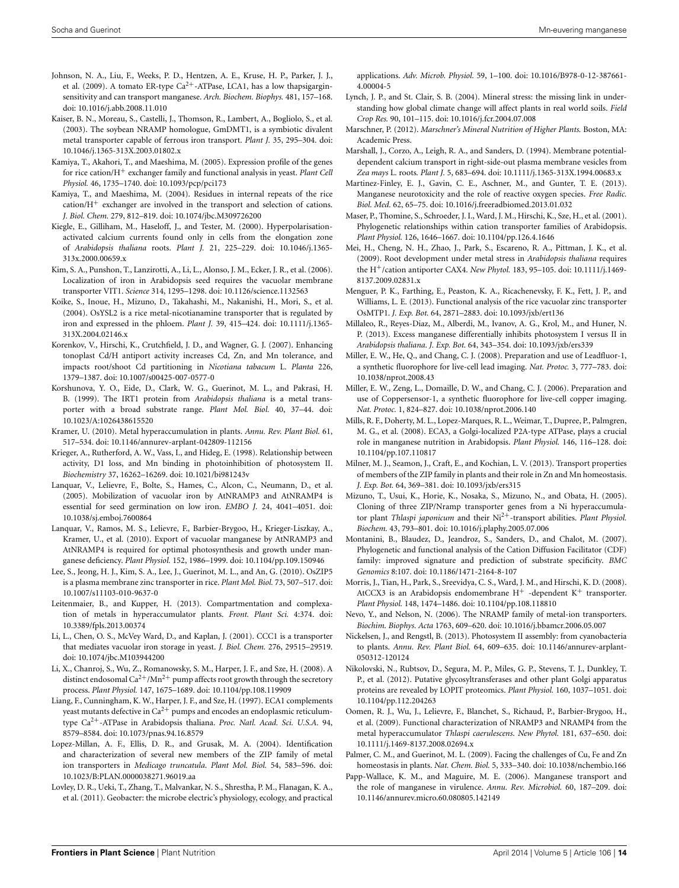- <span id="page-14-13"></span>Johnson, N. A., Liu, F., Weeks, P. D., Hentzen, A. E., Kruse, H. P., Parker, J. J., et al. (2009). A tomato ER-type  $Ca^{2+}$ -ATPase, LCA1, has a low thapsigarginsensitivity and can transport manganese. *Arch. Biochem. Biophys.* 481, 157–168. doi: 10.1016/j.abb.2008.11.010
- <span id="page-14-4"></span>Kaiser, B. N., Moreau, S., Castelli, J., Thomson, R., Lambert, A., Bogliolo, S., et al. (2003). The soybean NRAMP homologue, GmDMT1, is a symbiotic divalent metal transporter capable of ferrous iron transport. *Plant J.* 35, 295–304. doi: 10.1046/j.1365-313X.2003.01802.x
- <span id="page-14-10"></span>Kamiya, T., Akahori, T., and Maeshima, M. (2005). Expression profile of the genes for rice cation/H+ exchanger family and functional analysis in yeast. *Plant Cell Physiol.* 46, 1735–1740. doi: 10.1093/pcp/pci173
- <span id="page-14-9"></span>Kamiya, T., and Maeshima, M. (2004). Residues in internal repeats of the rice cation/H+ exchanger are involved in the transport and selection of cations. *J. Biol. Chem.* 279, 812–819. doi: 10.1074/jbc.M309726200
- <span id="page-14-31"></span>Kiegle, E., Gilliham, M., Haseloff, J., and Tester, M. (2000). Hyperpolarisationactivated calcium currents found only in cells from the elongation zone of *Arabidopsis thaliana* roots. *Plant J.* 21, 225–229. doi: 10.1046/j.1365- 313x.2000.00659.x
- <span id="page-14-14"></span>Kim, S. A., Punshon, T., Lanzirotti, A., Li, L., Alonso, J. M., Ecker, J. R., et al. (2006). Localization of iron in Arabidopsis seed requires the vacuolar membrane transporter VIT1. *Science* 314, 1295–1298. doi: 10.1126/science.1132563
- <span id="page-14-5"></span>Koike, S., Inoue, H., Mizuno, D., Takahashi, M., Nakanishi, H., Mori, S., et al. (2004). OsYSL2 is a rice metal-nicotianamine transporter that is regulated by iron and expressed in the phloem. *Plant J.* 39, 415–424. doi: 10.1111/j.1365- 313X.2004.02146.x
- <span id="page-14-34"></span>Korenkov, V., Hirschi, K., Crutchfield, J. D., and Wagner, G. J. (2007). Enhancing tonoplast Cd/H antiport activity increases Cd, Zn, and Mn tolerance, and impacts root/shoot Cd partitioning in *Nicotiana tabacum* L. *Planta* 226, 1379–1387. doi: 10.1007/s00425-007-0577-0
- <span id="page-14-6"></span>Korshunova, Y. O., Eide, D., Clark, W. G., Guerinot, M. L., and Pakrasi, H. B. (1999). The IRT1 protein from *Arabidopsis thaliana* is a metal transporter with a broad substrate range. *Plant Mol. Biol.* 40, 37–44. doi: 10.1023/A:1026438615520
- <span id="page-14-0"></span>Kramer, U. (2010). Metal hyperaccumulation in plants. *Annu. Rev. Plant Biol.* 61, 517–534. doi: 10.1146/annurev-arplant-042809-112156
- <span id="page-14-16"></span>Krieger, A., Rutherford, A. W., Vass, I., and Hideg, E. (1998). Relationship between activity, D1 loss, and Mn binding in photoinhibition of photosystem II. *Biochemistry* 37, 16262–16269. doi: 10.1021/bi981243v
- <span id="page-14-27"></span>Lanquar, V., Lelievre, F., Bolte, S., Hames, C., Alcon, C., Neumann, D., et al. (2005). Mobilization of vacuolar iron by AtNRAMP3 and AtNRAMP4 is essential for seed germination on low iron. *EMBO J.* 24, 4041–4051. doi: 10.1038/sj.emboj.7600864
- <span id="page-14-21"></span>Lanquar, V., Ramos, M. S., Lelievre, F., Barbier-Brygoo, H., Krieger-Liszkay, A., Kramer, U., et al. (2010). Export of vacuolar manganese by AtNRAMP3 and AtNRAMP4 is required for optimal photosynthesis and growth under manganese deficiency. *Plant Physiol.* 152, 1986–1999. doi: 10.1104/pp.109.150946
- <span id="page-14-30"></span>Lee, S., Jeong, H. J., Kim, S. A., Lee, J., Guerinot, M. L., and An, G. (2010). OsZIP5 is a plasma membrane zinc transporter in rice. *Plant Mol. Biol.* 73, 507–517. doi: 10.1007/s11103-010-9637-0
- <span id="page-14-22"></span>Leitenmaier, B., and Kupper, H. (2013). Compartmentation and complexation of metals in hyperaccumulator plants. *Front. Plant Sci.* 4:374. doi: 10.3389/fpls.2013.00374
- <span id="page-14-40"></span>Li, L., Chen, O. S., McVey Ward, D., and Kaplan, J. (2001). CCC1 is a transporter that mediates vacuolar iron storage in yeast. *J. Biol. Chem.* 276, 29515–29519. doi: 10.1074/jbc.M103944200
- <span id="page-14-38"></span>Li, X., Chanroj, S., Wu, Z., Romanowsky, S. M., Harper, J. F., and Sze, H. (2008). A distinct endosomal  $Ca^{2+}/Mn^{2+}$  pump affects root growth through the secretory process. *Plant Physiol.* 147, 1675–1689. doi: 10.1104/pp.108.119909
- <span id="page-14-37"></span>Liang, F., Cunningham, K. W., Harper, J. F., and Sze, H. (1997). ECA1 complements yeast mutants defective in  $\mathrm{Ca^{2+}}$  pumps and encodes an endoplasmic reticulumtype Ca2+-ATPase in Arabidopsis thaliana. *Proc. Natl. Acad. Sci. U.S.A.* 94, 8579–8584. doi: 10.1073/pnas.94.16.8579
- <span id="page-14-8"></span>Lopez-Millan, A. F., Ellis, D. R., and Grusak, M. A. (2004). Identification and characterization of several new members of the ZIP family of metal ion transporters in *Medicago truncatula*. *Plant Mol. Biol.* 54, 583–596. doi: 10.1023/B:PLAN.0000038271.96019.aa
- <span id="page-14-15"></span>Lovley, D. R., Ueki, T., Zhang, T., Malvankar, N. S., Shrestha, P. M., Flanagan, K. A., et al. (2011). Geobacter: the microbe electric's physiology, ecology, and practical

applications. *Adv. Microb. Physiol.* 59, 1–100. doi: 10.1016/B978-0-12-387661- 4.00004-5

- <span id="page-14-17"></span>Lynch, J. P., and St. Clair, S. B. (2004). Mineral stress: the missing link in understanding how global climate change will affect plants in real world soils. *Field Crop Res.* 90, 101–115. doi: 10.1016/j.fcr.2004.07.008
- <span id="page-14-3"></span>Marschner, P. (2012). *Marschner's Mineral Nutrition of Higher Plants.* Boston, MA: Academic Press.
- <span id="page-14-32"></span>Marshall, J., Corzo, A., Leigh, R. A., and Sanders, D. (1994). Membrane potentialdependent calcium transport in right-side-out plasma membrane vesicles from *Zea mays* L. roots*. Plant J.* 5, 683–694. doi: 10.1111/j.1365-313X.1994.00683.x
- <span id="page-14-1"></span>Martinez-Finley, E. J., Gavin, C. E., Aschner, M., and Gunter, T. E. (2013). Manganese neurotoxicity and the role of reactive oxygen species. *Free Radic. Biol. Med.* 62, 65–75. doi: 10.1016/j.freeradbiomed.2013.01.032
- <span id="page-14-29"></span>Maser, P., Thomine, S., Schroeder, J. I., Ward, J. M., Hirschi, K., Sze, H., et al. (2001). Phylogenetic relationships within cation transporter families of Arabidopsis. *Plant Physiol.* 126, 1646–1667. doi: 10.1104/pp.126.4.1646
- <span id="page-14-33"></span>Mei, H., Cheng, N. H., Zhao, J., Park, S., Escareno, R. A., Pittman, J. K., et al. (2009). Root development under metal stress in *Arabidopsis thaliana* requires the H+/cation antiporter CAX4. *New Phytol.* 183, 95–105. doi: 10.1111/j.1469- 8137.2009.02831.x
- <span id="page-14-36"></span>Menguer, P. K., Farthing, E., Peaston, K. A., Ricachenevsky, F. K., Fett, J. P., and Williams, L. E. (2013). Functional analysis of the rice vacuolar zinc transporter OsMTP1. *J. Exp. Bot.* 64, 2871–2883. doi: 10.1093/jxb/ert136
- <span id="page-14-18"></span>Millaleo, R., Reyes-Diaz, M., Alberdi, M., Ivanov, A. G., Krol, M., and Huner, N. P. (2013). Excess manganese differentially inhibits photosystem I versus II in *Arabidopsis thaliana*. *J. Exp. Bot.* 64, 343–354. doi: 10.1093/jxb/ers339
- <span id="page-14-20"></span>Miller, E. W., He, Q., and Chang, C. J. (2008). Preparation and use of Leadfluor-1, a synthetic fluorophore for live-cell lead imaging. *Nat. Protoc.* 3, 777–783. doi: 10.1038/nprot.2008.43
- <span id="page-14-19"></span>Miller, E. W., Zeng, L., Domaille, D. W., and Chang, C. J. (2006). Preparation and use of Coppersensor-1, a synthetic fluorophore for live-cell copper imaging. *Nat. Protoc.* 1, 824–827. doi: 10.1038/nprot.2006.140
- <span id="page-14-12"></span>Mills, R. F., Doherty, M. L., Lopez-Marques, R. L., Weimar, T., Dupree, P., Palmgren, M. G., et al. (2008). ECA3, a Golgi-localized P2A-type ATPase, plays a crucial role in manganese nutrition in Arabidopsis. *Plant Physiol.* 146, 116–128. doi: 10.1104/pp.107.110817
- <span id="page-14-7"></span>Milner, M. J., Seamon, J., Craft, E., and Kochian, L. V. (2013). Transport properties of members of the ZIP family in plants and their role in Zn and Mn homeostasis. *J. Exp. Bot.* 64, 369–381. doi: 10.1093/jxb/ers315
- <span id="page-14-25"></span>Mizuno, T., Usui, K., Horie, K., Nosaka, S., Mizuno, N., and Obata, H. (2005). Cloning of three ZIP/Nramp transporter genes from a Ni hyperaccumulator plant *Thlaspi japonicum* and their Ni2+-transport abilities. *Plant Physiol. Biochem.* 43, 793–801. doi: 10.1016/j.plaphy.2005.07.006
- <span id="page-14-35"></span>Montanini, B., Blaudez, D., Jeandroz, S., Sanders, D., and Chalot, M. (2007). Phylogenetic and functional analysis of the Cation Diffusion Facilitator (CDF) family: improved signature and prediction of substrate specificity. *BMC Genomics* 8:107. doi: 10.1186/1471-2164-8-107
- <span id="page-14-11"></span>Morris, J., Tian, H., Park, S., Sreevidya, C. S., Ward, J. M., and Hirschi, K. D. (2008). AtCCX3 is an Arabidopsis endomembrane  $H^+$  -dependent  $K^+$  transporter. *Plant Physiol.* 148, 1474–1486. doi: 10.1104/pp.108.118810
- <span id="page-14-24"></span>Nevo, Y., and Nelson, N. (2006). The NRAMP family of metal-ion transporters. *Biochim. Biophys. Acta* 1763, 609–620. doi: 10.1016/j.bbamcr.2006.05.007
- <span id="page-14-2"></span>Nickelsen, J., and Rengstl, B. (2013). Photosystem II assembly: from cyanobacteria to plants. *Annu. Rev. Plant Biol.* 64, 609–635. doi: 10.1146/annurev-arplant-050312-120124
- <span id="page-14-39"></span>Nikolovski, N., Rubtsov, D., Segura, M. P., Miles, G. P., Stevens, T. J., Dunkley, T. P., et al. (2012). Putative glycosyltransferases and other plant Golgi apparatus proteins are revealed by LOPIT proteomics. *Plant Physiol.* 160, 1037–1051. doi: 10.1104/pp.112.204263
- <span id="page-14-26"></span>Oomen, R. J., Wu, J., Lelievre, F., Blanchet, S., Richaud, P., Barbier-Brygoo, H., et al. (2009). Functional characterization of NRAMP3 and NRAMP4 from the metal hyperaccumulator *Thlaspi caerulescens*. *New Phytol.* 181, 637–650. doi: 10.1111/j.1469-8137.2008.02694.x
- <span id="page-14-28"></span>Palmer, C. M., and Guerinot, M. L. (2009). Facing the challenges of Cu, Fe and Zn homeostasis in plants. *Nat. Chem. Biol.* 5, 333–340. doi: 10.1038/nchembio.166
- <span id="page-14-23"></span>Papp-Wallace, K. M., and Maguire, M. E. (2006). Manganese transport and the role of manganese in virulence. *Annu. Rev. Microbiol.* 60, 187–209. doi: 10.1146/annurev.micro.60.080805.142149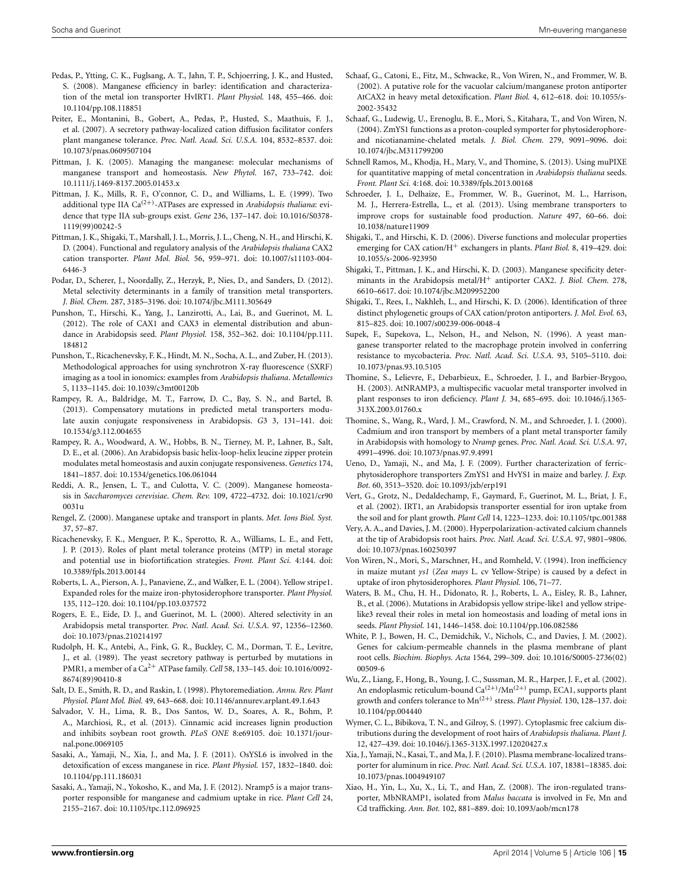- <span id="page-15-9"></span>Pedas, P., Ytting, C. K., Fuglsang, A. T., Jahn, T. P., Schjoerring, J. K., and Husted, S. (2008). Manganese efficiency in barley: identification and characterization of the metal ion transporter HvIRT1. *Plant Physiol.* 148, 455–466. doi: 10.1104/pp.108.118851
- <span id="page-15-13"></span>Peiter, E., Montanini, B., Gobert, A., Pedas, P., Husted, S., Maathuis, F. J., et al. (2007). A secretory pathway-localized cation diffusion facilitator confers plant manganese tolerance. *Proc. Natl. Acad. Sci. U.S.A.* 104, 8532–8537. doi: 10.1073/pnas.0609507104
- <span id="page-15-17"></span>Pittman, J. K. (2005). Managing the manganese: molecular mechanisms of manganese transport and homeostasis. *New Phytol.* 167, 733–742. doi: 10.1111/j.1469-8137.2005.01453.x
- <span id="page-15-38"></span>Pittman, J. K., Mills, R. F., O'connor, C. D., and Williams, L. E. (1999). Two additional type IIA Ca*(*2+*)* -ATPases are expressed in *Arabidopsis thaliana*: evidence that type IIA sub-groups exist. *Gene* 236, 137–147. doi: 10.1016/S0378- 1119(99)00242-5
- <span id="page-15-12"></span>Pittman, J. K., Shigaki, T., Marshall, J. L., Morris, J. L., Cheng, N. H., and Hirschi, K. D. (2004). Functional and regulatory analysis of the *Arabidopsis thaliana* CAX2 cation transporter. *Plant Mol. Biol.* 56, 959–971. doi: 10.1007/s11103-004- 6446-3
- <span id="page-15-36"></span>Podar, D., Scherer, J., Noordally, Z., Herzyk, P., Nies, D., and Sanders, D. (2012). Metal selectivity determinants in a family of transition metal transporters. *J. Biol. Chem.* 287, 3185–3196. doi: 10.1074/jbc.M111.305649
- <span id="page-15-35"></span>Punshon, T., Hirschi, K., Yang, J., Lanzirotti, A., Lai, B., and Guerinot, M. L. (2012). The role of CAX1 and CAX3 in elemental distribution and abundance in Arabidopsis seed. *Plant Physiol.* 158, 352–362. doi: 10.1104/pp.111. 184812
- <span id="page-15-20"></span>Punshon, T., Ricachenevsky, F. K., Hindt, M. N., Socha, A. L., and Zuber, H. (2013). Methodological approaches for using synchrotron X-ray fluorescence (SXRF) imaging as a tool in ionomics: examples from *Arabidopsis thaliana*. *Metallomics* 5, 1133–1145. doi: 10.1039/c3mt00120b
- <span id="page-15-29"></span>Rampey, R. A., Baldridge, M. T., Farrow, D. C., Bay, S. N., and Bartel, B. (2013). Compensatory mutations in predicted metal transporters modulate auxin conjugate responsiveness in Arabidopsis. *G*3 3, 131–141. doi: 10.1534/g3.112.004655
- <span id="page-15-39"></span>Rampey, R. A., Woodward, A. W., Hobbs, B. N., Tierney, M. P., Lahner, B., Salt, D. E., et al. (2006). An Arabidopsis basic helix-loop-helix leucine zipper protein modulates metal homeostasis and auxin conjugate responsiveness. *Genetics* 174, 1841–1857. doi: 10.1534/genetics.106.061044
- <span id="page-15-22"></span>Reddi, A. R., Jensen, L. T., and Culotta, V. C. (2009). Manganese homeostasis in *Saccharomyces cerevisiae*. *Chem. Rev.* 109, 4722–4732. doi: 10.1021/cr90 0031u
- <span id="page-15-15"></span>Rengel, Z. (2000). Manganese uptake and transport in plants. *Met. Ions Biol. Syst.* 37, 57–87.
- <span id="page-15-37"></span>Ricachenevsky, F. K., Menguer, P. K., Sperotto, R. A., Williams, L. E., and Fett, J. P. (2013). Roles of plant metal tolerance proteins (MTP) in metal storage and potential use in biofortification strategies. *Front. Plant Sci.* 4:144. doi: 10.3389/fpls.2013.00144
- <span id="page-15-5"></span>Roberts, L. A., Pierson, A. J., Panaviene, Z., and Walker, E. L. (2004). Yellow stripe1. Expanded roles for the maize iron-phytosiderophore transporter*. Plant Physiol.* 135, 112–120. doi: 10.1104/pp.103.037572
- <span id="page-15-23"></span>Rogers, E. E., Eide, D. J., and Guerinot, M. L. (2000). Altered selectivity in an Arabidopsis metal transporter. *Proc. Natl. Acad. Sci. U.S.A.* 97, 12356–12360. doi: 10.1073/pnas.210214197
- <span id="page-15-19"></span>Rudolph, H. K., Antebi, A., Fink, G. R., Buckley, C. M., Dorman, T. E., Levitre, J., et al. (1989). The yeast secretory pathway is perturbed by mutations in PMR1, a member of a Ca2<sup>+</sup> ATPase family. *Cell* 58, 133–145. doi: 10.1016/0092- 8674(89)90410-8
- <span id="page-15-1"></span>Salt, D. E., Smith, R. D., and Raskin, I. (1998). Phytoremediation. *Annu. Rev. Plant Physiol. Plant Mol. Biol.* 49, 643–668. doi: 10.1146/annurev.arplant.49.1.643
- <span id="page-15-16"></span>Salvador, V. H., Lima, R. B., Dos Santos, W. D., Soares, A. R., Bohm, P. A., Marchiosi, R., et al. (2013). Cinnamic acid increases lignin production and inhibits soybean root growth. *PLoS ONE* 8:e69105. doi: 10.1371/journal.pone.0069105
- <span id="page-15-4"></span>Sasaki, A., Yamaji, N., Xia, J., and Ma, J. F. (2011). OsYSL6 is involved in the detoxification of excess manganese in rice. *Plant Physiol.* 157, 1832–1840. doi: 10.1104/pp.111.186031
- <span id="page-15-3"></span>Sasaki, A., Yamaji, N., Yokosho, K., and Ma, J. F. (2012). Nramp5 is a major transporter responsible for manganese and cadmium uptake in rice. *Plant Cell* 24, 2155–2167. doi: 10.1105/tpc.112.096925
- <span id="page-15-10"></span>Schaaf, G., Catoni, E., Fitz, M., Schwacke, R., Von Wiren, N., and Frommer, W. B. (2002). A putative role for the vacuolar calcium/manganese proton antiporter AtCAX2 in heavy metal detoxification. *Plant Biol.* 4, 612–618. doi: 10.1055/s-2002-35432
- <span id="page-15-6"></span>Schaaf, G., Ludewig, U., Erenoglu, B. E., Mori, S., Kitahara, T., and Von Wiren, N. (2004). ZmYS1 functions as a proton-coupled symporter for phytosiderophoreand nicotianamine-chelated metals. *J. Biol. Chem.* 279, 9091–9096. doi: 10.1074/jbc.M311799200
- <span id="page-15-21"></span>Schnell Ramos, M., Khodja, H., Mary, V., and Thomine, S. (2013). Using muPIXE for quantitative mapping of metal concentration in *Arabidopsis thaliana* seeds. *Front. Plant Sci.* 4:168. doi: 10.3389/fpls.2013.00168
- <span id="page-15-0"></span>Schroeder, J. I., Delhaize, E., Frommer, W. B., Guerinot, M. L., Harrison, M. J., Herrera-Estrella, L., et al. (2013). Using membrane transporters to improve crops for sustainable food production. *Nature* 497, 60–66. doi: 10.1038/nature11909
- <span id="page-15-33"></span>Shigaki, T., and Hirschi, K. D. (2006). Diverse functions and molecular properties emerging for CAX cation/H+ exchangers in plants. *Plant Biol.* 8, 419–429. doi: 10.1055/s-2006-923950
- <span id="page-15-11"></span>Shigaki, T., Pittman, J. K., and Hirschi, K. D. (2003). Manganese specificity determinants in the Arabidopsis metal/H+ antiporter CAX2. *J. Biol. Chem.* 278, 6610–6617. doi: 10.1074/jbc.M209952200
- <span id="page-15-34"></span>Shigaki, T., Rees, I., Nakhleh, L., and Hirschi, K. D. (2006). Identification of three distinct phylogenetic groups of CAX cation/proton antiporters. *J. Mol. Evol.* 63, 815–825. doi: 10.1007/s00239-006-0048-4
- <span id="page-15-18"></span>Supek, F., Supekova, L., Nelson, H., and Nelson, N. (1996). A yeast manganese transporter related to the macrophage protein involved in conferring resistance to mycobacteria. *Proc. Natl. Acad. Sci. U.S.A.* 93, 5105–5110. doi: 10.1073/pnas.93.10.5105
- <span id="page-15-26"></span>Thomine, S., Lelievre, F., Debarbieux, E., Schroeder, J. I., and Barbier-Brygoo, H. (2003). AtNRAMP3, a multispecific vacuolar metal transporter involved in plant responses to iron deficiency. *Plant J.* 34, 685–695. doi: 10.1046/j.1365- 313X.2003.01760.x
- <span id="page-15-2"></span>Thomine, S., Wang, R., Ward, J. M., Crawford, N. M., and Schroeder, J. I. (2000). Cadmium and iron transport by members of a plant metal transporter family in Arabidopsis with homology to *Nramp* genes. *Proc. Natl. Acad. Sci. U.S.A.* 97, 4991–4996. doi: 10.1073/pnas.97.9.4991
- <span id="page-15-7"></span>Ueno, D., Yamaji, N., and Ma, J. F. (2009). Further characterization of ferricphytosiderophore transporters ZmYS1 and HvYS1 in maize and barley. *J. Exp. Bot.* 60, 3513–3520. doi: 10.1093/jxb/erp191
- <span id="page-15-8"></span>Vert, G., Grotz, N., Dedaldechamp, F., Gaymard, F., Guerinot, M. L., Briat, J. F., et al. (2002). IRT1, an Arabidopsis transporter essential for iron uptake from the soil and for plant growth. *Plant Cell* 14, 1223–1233. doi: 10.1105/tpc.001388
- <span id="page-15-31"></span>Very, A. A., and Davies, J. M. (2000). Hyperpolarization-activated calcium channels at the tip of Arabidopsis root hairs. *Proc. Natl. Acad. Sci. U.S.A.* 97, 9801–9806. doi: 10.1073/pnas.160250397
- <span id="page-15-27"></span>Von Wiren, N., Mori, S., Marschner, H., and Romheld, V. (1994). Iron inefficiency in maize mutant *ys1* (*Zea mays* L. cv Yellow-Stripe) is caused by a defect in uptake of iron phytosiderophores*. Plant Physiol.* 106, 71–77.
- <span id="page-15-28"></span>Waters, B. M., Chu, H. H., Didonato, R. J., Roberts, L. A., Eisley, R. B., Lahner, B., et al. (2006). Mutations in Arabidopsis yellow stripe-like1 and yellow stripelike3 reveal their roles in metal ion homeostasis and loading of metal ions in seeds. *Plant Physiol.* 141, 1446–1458. doi: 10.1104/pp.106.082586
- <span id="page-15-30"></span>White, P. J., Bowen, H. C., Demidchik, V., Nichols, C., and Davies, J. M. (2002). Genes for calcium-permeable channels in the plasma membrane of plant root cells. *Biochim. Biophys. Acta* 1564, 299–309. doi: 10.1016/S0005-2736(02) 00509-6
- <span id="page-15-14"></span>Wu, Z., Liang, F., Hong, B., Young, J. C., Sussman, M. R., Harper, J. F., et al. (2002). An endoplasmic reticulum-bound Ca*(*2+*)* /Mn*(*2+*)* pump, ECA1, supports plant growth and confers tolerance to Mn*(*2+*)* stress. *Plant Physiol.* 130, 128–137. doi: 10.1104/pp.004440
- <span id="page-15-32"></span>Wymer, C. L., Bibikova, T. N., and Gilroy, S. (1997). Cytoplasmic free calcium distributions during the development of root hairs of *Arabidopsis thaliana*. *Plant J.* 12, 427–439. doi: 10.1046/j.1365-313X.1997.12020427.x
- <span id="page-15-24"></span>Xia, J., Yamaji, N., Kasai, T., and Ma, J. F. (2010). Plasma membrane-localized transporter for aluminum in rice. *Proc. Natl. Acad. Sci. U.S.A.* 107, 18381–18385. doi: 10.1073/pnas.1004949107
- <span id="page-15-25"></span>Xiao, H., Yin, L., Xu, X., Li, T., and Han, Z. (2008). The iron-regulated transporter, MbNRAMP1, isolated from *Malus baccata* is involved in Fe, Mn and Cd trafficking. *Ann. Bot.* 102, 881–889. doi: 10.1093/aob/mcn178